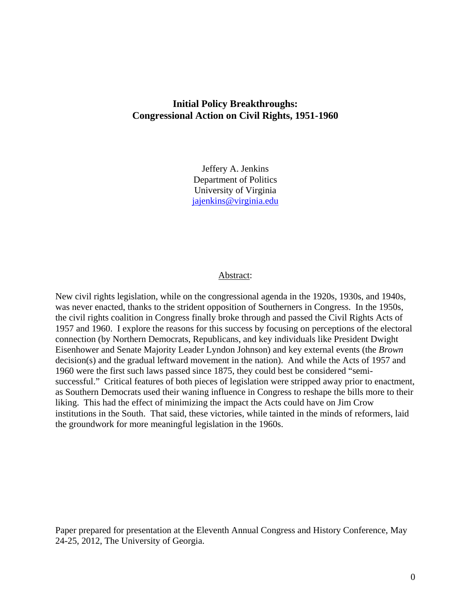# **Initial Policy Breakthroughs: Congressional Action on Civil Rights, 1951-1960**

Jeffery A. Jenkins Department of Politics University of Virginia jajenkins@virginia.edu

### Abstract:

New civil rights legislation, while on the congressional agenda in the 1920s, 1930s, and 1940s, was never enacted, thanks to the strident opposition of Southerners in Congress. In the 1950s, the civil rights coalition in Congress finally broke through and passed the Civil Rights Acts of 1957 and 1960. I explore the reasons for this success by focusing on perceptions of the electoral connection (by Northern Democrats, Republicans, and key individuals like President Dwight Eisenhower and Senate Majority Leader Lyndon Johnson) and key external events (the *Brown*  decision(s) and the gradual leftward movement in the nation). And while the Acts of 1957 and 1960 were the first such laws passed since 1875, they could best be considered "semisuccessful." Critical features of both pieces of legislation were stripped away prior to enactment, as Southern Democrats used their waning influence in Congress to reshape the bills more to their liking. This had the effect of minimizing the impact the Acts could have on Jim Crow institutions in the South. That said, these victories, while tainted in the minds of reformers, laid the groundwork for more meaningful legislation in the 1960s.

Paper prepared for presentation at the Eleventh Annual Congress and History Conference, May 24-25, 2012, The University of Georgia.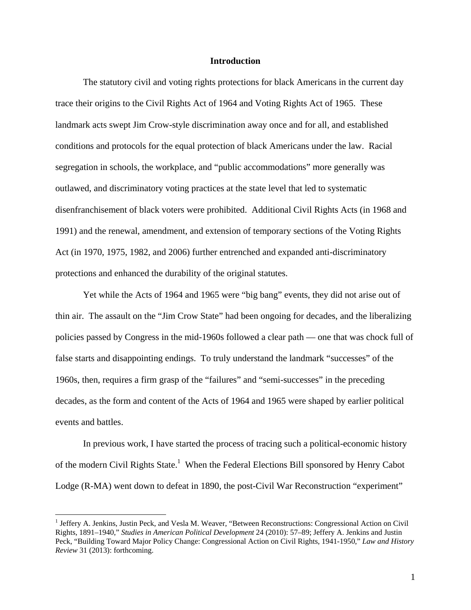#### **Introduction**

 The statutory civil and voting rights protections for black Americans in the current day trace their origins to the Civil Rights Act of 1964 and Voting Rights Act of 1965. These landmark acts swept Jim Crow-style discrimination away once and for all, and established conditions and protocols for the equal protection of black Americans under the law. Racial segregation in schools, the workplace, and "public accommodations" more generally was outlawed, and discriminatory voting practices at the state level that led to systematic disenfranchisement of black voters were prohibited. Additional Civil Rights Acts (in 1968 and 1991) and the renewal, amendment, and extension of temporary sections of the Voting Rights Act (in 1970, 1975, 1982, and 2006) further entrenched and expanded anti-discriminatory protections and enhanced the durability of the original statutes.

 Yet while the Acts of 1964 and 1965 were "big bang" events, they did not arise out of thin air. The assault on the "Jim Crow State" had been ongoing for decades, and the liberalizing policies passed by Congress in the mid-1960s followed a clear path — one that was chock full of false starts and disappointing endings. To truly understand the landmark "successes" of the 1960s, then, requires a firm grasp of the "failures" and "semi-successes" in the preceding decades, as the form and content of the Acts of 1964 and 1965 were shaped by earlier political events and battles.

 In previous work, I have started the process of tracing such a political-economic history of the modern Civil Rights State.<sup>1</sup> When the Federal Elections Bill sponsored by Henry Cabot Lodge (R-MA) went down to defeat in 1890, the post-Civil War Reconstruction "experiment"

<sup>&</sup>lt;sup>1</sup> Jeffery A. Jenkins, Justin Peck, and Vesla M. Weaver, "Between Reconstructions: Congressional Action on Civil Rights, 1891–1940," *Studies in American Political Development* 24 (2010): 57–89; Jeffery A. Jenkins and Justin Peck, "Building Toward Major Policy Change: Congressional Action on Civil Rights, 1941-1950," *Law and History Review* 31 (2013): forthcoming.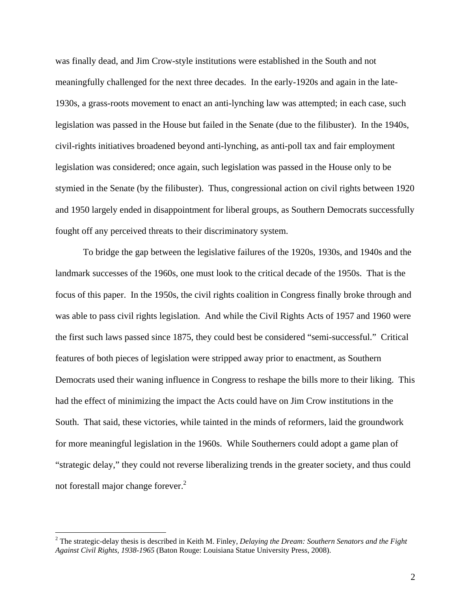was finally dead, and Jim Crow-style institutions were established in the South and not meaningfully challenged for the next three decades. In the early-1920s and again in the late-1930s, a grass-roots movement to enact an anti-lynching law was attempted; in each case, such legislation was passed in the House but failed in the Senate (due to the filibuster). In the 1940s, civil-rights initiatives broadened beyond anti-lynching, as anti-poll tax and fair employment legislation was considered; once again, such legislation was passed in the House only to be stymied in the Senate (by the filibuster). Thus, congressional action on civil rights between 1920 and 1950 largely ended in disappointment for liberal groups, as Southern Democrats successfully fought off any perceived threats to their discriminatory system.

 To bridge the gap between the legislative failures of the 1920s, 1930s, and 1940s and the landmark successes of the 1960s, one must look to the critical decade of the 1950s. That is the focus of this paper. In the 1950s, the civil rights coalition in Congress finally broke through and was able to pass civil rights legislation. And while the Civil Rights Acts of 1957 and 1960 were the first such laws passed since 1875, they could best be considered "semi-successful." Critical features of both pieces of legislation were stripped away prior to enactment, as Southern Democrats used their waning influence in Congress to reshape the bills more to their liking. This had the effect of minimizing the impact the Acts could have on Jim Crow institutions in the South. That said, these victories, while tainted in the minds of reformers, laid the groundwork for more meaningful legislation in the 1960s. While Southerners could adopt a game plan of "strategic delay," they could not reverse liberalizing trends in the greater society, and thus could not forestall major change forever.<sup>2</sup>

<sup>2</sup> The strategic-delay thesis is described in Keith M. Finley, *Delaying the Dream: Southern Senators and the Fight Against Civil Rights, 1938-1965* (Baton Rouge: Louisiana Statue University Press, 2008).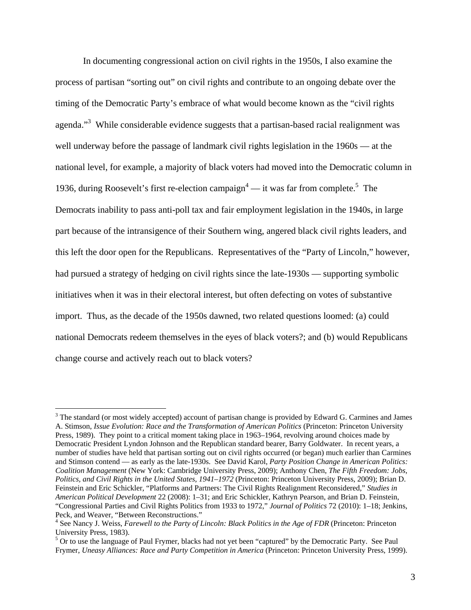In documenting congressional action on civil rights in the 1950s, I also examine the process of partisan "sorting out" on civil rights and contribute to an ongoing debate over the timing of the Democratic Party's embrace of what would become known as the "civil rights agenda."<sup>3</sup> While considerable evidence suggests that a partisan-based racial realignment was well underway before the passage of landmark civil rights legislation in the 1960s — at the national level, for example, a majority of black voters had moved into the Democratic column in 1936, during Roosevelt's first re-election campaign<sup>4</sup> — it was far from complete.<sup>5</sup> The Democrats inability to pass anti-poll tax and fair employment legislation in the 1940s, in large part because of the intransigence of their Southern wing, angered black civil rights leaders, and this left the door open for the Republicans. Representatives of the "Party of Lincoln," however, had pursued a strategy of hedging on civil rights since the late-1930s — supporting symbolic initiatives when it was in their electoral interest, but often defecting on votes of substantive import. Thus, as the decade of the 1950s dawned, two related questions loomed: (a) could national Democrats redeem themselves in the eyes of black voters?; and (b) would Republicans change course and actively reach out to black voters?

 $3$  The standard (or most widely accepted) account of partisan change is provided by Edward G. Carmines and James A. Stimson, *Issue Evolution: Race and the Transformation of American Politics* (Princeton: Princeton University Press, 1989). They point to a critical moment taking place in 1963–1964, revolving around choices made by Democratic President Lyndon Johnson and the Republican standard bearer, Barry Goldwater. In recent years, a number of studies have held that partisan sorting out on civil rights occurred (or began) much earlier than Carmines and Stimson contend — as early as the late-1930s. See David Karol, *Party Position Change in American Politics: Coalition Management* (New York: Cambridge University Press, 2009); Anthony Chen, *The Fifth Freedom: Jobs, Politics, and Civil Rights in the United States, 1941–1972* (Princeton: Princeton University Press, 2009); Brian D. Feinstein and Eric Schickler, "Platforms and Partners: The Civil Rights Realignment Reconsidered," *Studies in American Political Development* 22 (2008): 1–31; and Eric Schickler, Kathryn Pearson, and Brian D. Feinstein, "Congressional Parties and Civil Rights Politics from 1933 to 1972," *Journal of Politics* 72 (2010): 1–18; Jenkins, Peck, and Weaver, "Between Reconstructions."

<sup>&</sup>lt;sup>4</sup> See Nancy J. Weiss, *Farewell to the Party of Lincoln: Black Politics in the Age of FDR* (Princeton: Princeton University Press, 1983).

<sup>&</sup>lt;sup>5</sup> Or to use the language of Paul Frymer, blacks had not yet been "captured" by the Democratic Party. See Paul Frymer, *Uneasy Alliances: Race and Party Competition in America* (Princeton: Princeton University Press, 1999).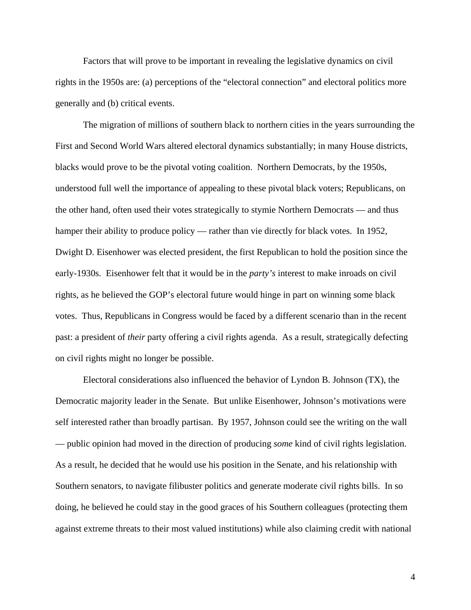Factors that will prove to be important in revealing the legislative dynamics on civil rights in the 1950s are: (a) perceptions of the "electoral connection" and electoral politics more generally and (b) critical events.

The migration of millions of southern black to northern cities in the years surrounding the First and Second World Wars altered electoral dynamics substantially; in many House districts, blacks would prove to be the pivotal voting coalition. Northern Democrats, by the 1950s, understood full well the importance of appealing to these pivotal black voters; Republicans, on the other hand, often used their votes strategically to stymie Northern Democrats — and thus hamper their ability to produce policy — rather than vie directly for black votes. In 1952, Dwight D. Eisenhower was elected president, the first Republican to hold the position since the early-1930s. Eisenhower felt that it would be in the *party's* interest to make inroads on civil rights, as he believed the GOP's electoral future would hinge in part on winning some black votes. Thus, Republicans in Congress would be faced by a different scenario than in the recent past: a president of *their* party offering a civil rights agenda. As a result, strategically defecting on civil rights might no longer be possible.

Electoral considerations also influenced the behavior of Lyndon B. Johnson (TX), the Democratic majority leader in the Senate. But unlike Eisenhower, Johnson's motivations were self interested rather than broadly partisan. By 1957, Johnson could see the writing on the wall — public opinion had moved in the direction of producing *some* kind of civil rights legislation. As a result, he decided that he would use his position in the Senate, and his relationship with Southern senators, to navigate filibuster politics and generate moderate civil rights bills. In so doing, he believed he could stay in the good graces of his Southern colleagues (protecting them against extreme threats to their most valued institutions) while also claiming credit with national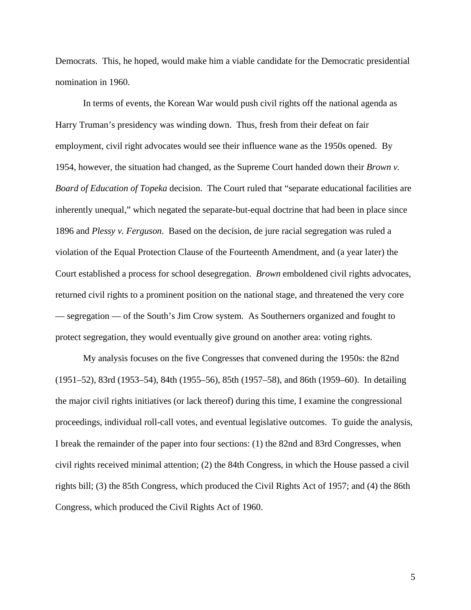Democrats. This, he hoped, would make him a viable candidate for the Democratic presidential nomination in 1960.

In terms of events, the Korean War would push civil rights off the national agenda as Harry Truman's presidency was winding down. Thus, fresh from their defeat on fair employment, civil right advocates would see their influence wane as the 1950s opened. By 1954, however, the situation had changed, as the Supreme Court handed down their *Brown v. Board of Education of Topeka* decision. The Court ruled that "separate educational facilities are inherently unequal," which negated the separate-but-equal doctrine that had been in place since 1896 and *Plessy v. Ferguson*. Based on the decision, de jure racial segregation was ruled a violation of the Equal Protection Clause of the Fourteenth Amendment, and (a year later) the Court established a process for school desegregation. *Brown* emboldened civil rights advocates, returned civil rights to a prominent position on the national stage, and threatened the very core — segregation — of the South's Jim Crow system. As Southerners organized and fought to protect segregation, they would eventually give ground on another area: voting rights.

My analysis focuses on the five Congresses that convened during the 1950s: the 82nd (1951–52), 83rd (1953–54), 84th (1955–56), 85th (1957–58), and 86th (1959–60). In detailing the major civil rights initiatives (or lack thereof) during this time, I examine the congressional proceedings, individual roll-call votes, and eventual legislative outcomes. To guide the analysis, I break the remainder of the paper into four sections: (1) the 82nd and 83rd Congresses, when civil rights received minimal attention; (2) the 84th Congress, in which the House passed a civil rights bill; (3) the 85th Congress, which produced the Civil Rights Act of 1957; and (4) the 86th Congress, which produced the Civil Rights Act of 1960.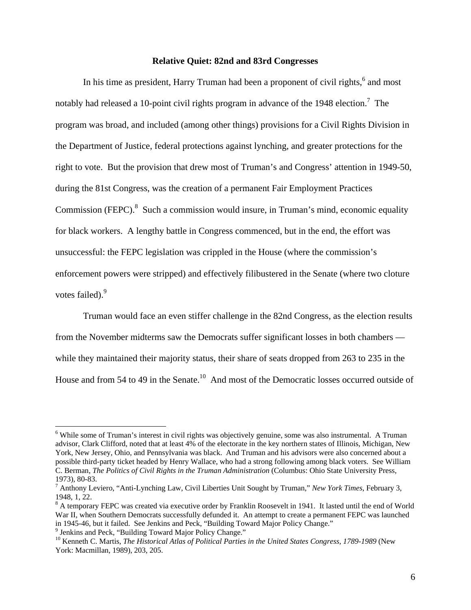#### **Relative Quiet: 82nd and 83rd Congresses**

In his time as president, Harry Truman had been a proponent of civil rights,<sup>6</sup> and most notably had released a 10-point civil rights program in advance of the 1948 election.<sup>7</sup> The program was broad, and included (among other things) provisions for a Civil Rights Division in the Department of Justice, federal protections against lynching, and greater protections for the right to vote. But the provision that drew most of Truman's and Congress' attention in 1949-50, during the 81st Congress, was the creation of a permanent Fair Employment Practices Commission (FEPC). $8$  Such a commission would insure, in Truman's mind, economic equality for black workers. A lengthy battle in Congress commenced, but in the end, the effort was unsuccessful: the FEPC legislation was crippled in the House (where the commission's enforcement powers were stripped) and effectively filibustered in the Senate (where two cloture votes failed).<sup>9</sup>

 Truman would face an even stiffer challenge in the 82nd Congress, as the election results from the November midterms saw the Democrats suffer significant losses in both chambers while they maintained their majority status, their share of seats dropped from 263 to 235 in the House and from 54 to 49 in the Senate.<sup>10</sup> And most of the Democratic losses occurred outside of

<sup>&</sup>lt;sup>6</sup> While some of Truman's interest in civil rights was objectively genuine, some was also instrumental. A Truman advisor, Clark Clifford, noted that at least 4% of the electorate in the key northern states of Illinois, Michigan, New York, New Jersey, Ohio, and Pennsylvania was black. And Truman and his advisors were also concerned about a possible third-party ticket headed by Henry Wallace, who had a strong following among black voters. See William C. Berman, *The Politics of Civil Rights in the Truman Administration* (Columbus: Ohio State University Press, 1973), 80-83.

<sup>7</sup> Anthony Leviero, "Anti-Lynching Law, Civil Liberties Unit Sought by Truman," *New York Times*, February 3, 1948, 1, 22.

<sup>&</sup>lt;sup>8</sup> A temporary FEPC was created via executive order by Franklin Roosevelt in 1941. It lasted until the end of World War II, when Southern Democrats successfully defunded it. An attempt to create a permanent FEPC was launched in 1945-46, but it failed. See Jenkins and Peck, "Building Toward Major Policy Change." 9

<sup>&</sup>lt;sup>9</sup> Jenkins and Peck, "Building Toward Major Policy Change."

<sup>&</sup>lt;sup>10</sup> Kenneth C. Martis, *The Historical Atlas of Political Parties in the United States Congress, 1789-1989* (New York: Macmillan, 1989), 203, 205.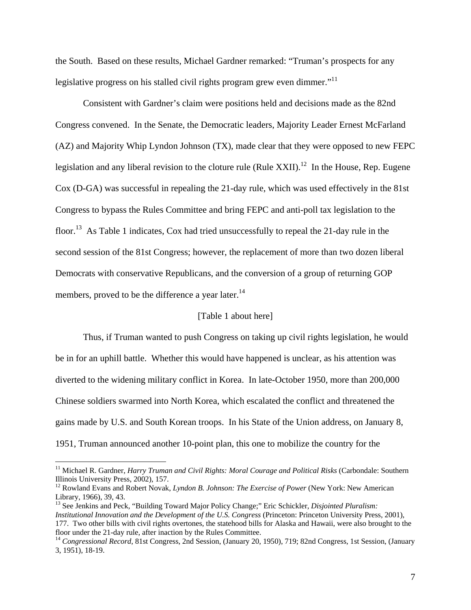the South. Based on these results, Michael Gardner remarked: "Truman's prospects for any legislative progress on his stalled civil rights program grew even dimmer. $11$ 

Consistent with Gardner's claim were positions held and decisions made as the 82nd Congress convened. In the Senate, the Democratic leaders, Majority Leader Ernest McFarland (AZ) and Majority Whip Lyndon Johnson (TX), made clear that they were opposed to new FEPC legislation and any liberal revision to the cloture rule (Rule XXII).<sup>12</sup> In the House, Rep. Eugene Cox (D-GA) was successful in repealing the 21-day rule, which was used effectively in the 81st Congress to bypass the Rules Committee and bring FEPC and anti-poll tax legislation to the floor.<sup>13</sup> As Table 1 indicates, Cox had tried unsuccessfully to repeal the 21-day rule in the second session of the 81st Congress; however, the replacement of more than two dozen liberal Democrats with conservative Republicans, and the conversion of a group of returning GOP members, proved to be the difference a year later.<sup>14</sup>

# [Table 1 about here]

 Thus, if Truman wanted to push Congress on taking up civil rights legislation, he would be in for an uphill battle. Whether this would have happened is unclear, as his attention was diverted to the widening military conflict in Korea. In late-October 1950, more than 200,000 Chinese soldiers swarmed into North Korea, which escalated the conflict and threatened the gains made by U.S. and South Korean troops. In his State of the Union address, on January 8, 1951, Truman announced another 10-point plan, this one to mobilize the country for the

<sup>&</sup>lt;sup>11</sup> Michael R. Gardner, *Harry Truman and Civil Rights: Moral Courage and Political Risks* (Carbondale: Southern Illinois University Press, 2002), 157.

<sup>&</sup>lt;sup>12</sup> Rowland Evans and Robert Novak, *Lyndon B. Johnson: The Exercise of Power* (New York: New American Library, 1966), 39, 43.

<sup>13</sup> See Jenkins and Peck, "Building Toward Major Policy Change;" Eric Schickler, *Disjointed Pluralism: Institutional Innovation and the Development of the U.S. Congress* (Princeton: Princeton University Press, 2001), 177. Two other bills with civil rights overtones, the statehood bills for Alaska and Hawaii, were also brought to the floor under the 21-day rule, after inaction by the Rules Committee.

<sup>14</sup> *Congressional Record*, 81st Congress, 2nd Session, (January 20, 1950), 719; 82nd Congress, 1st Session, (January 3, 1951), 18-19.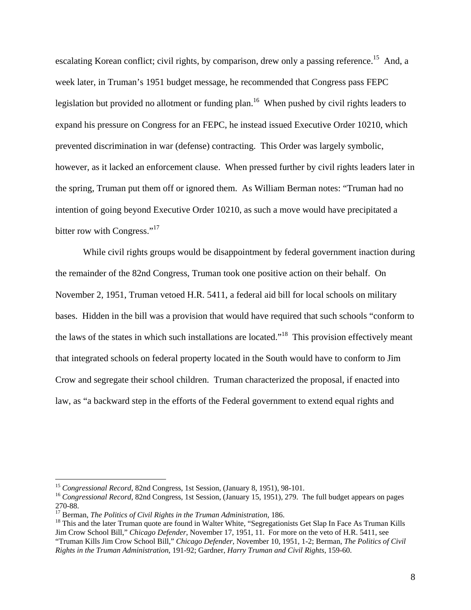escalating Korean conflict; civil rights, by comparison, drew only a passing reference.<sup>15</sup> And, a week later, in Truman's 1951 budget message, he recommended that Congress pass FEPC legislation but provided no allotment or funding plan.<sup>16</sup> When pushed by civil rights leaders to expand his pressure on Congress for an FEPC, he instead issued Executive Order 10210, which prevented discrimination in war (defense) contracting. This Order was largely symbolic, however, as it lacked an enforcement clause. When pressed further by civil rights leaders later in the spring, Truman put them off or ignored them. As William Berman notes: "Truman had no intention of going beyond Executive Order 10210, as such a move would have precipitated a bitter row with Congress."<sup>17</sup>

 While civil rights groups would be disappointment by federal government inaction during the remainder of the 82nd Congress, Truman took one positive action on their behalf. On November 2, 1951, Truman vetoed H.R. 5411, a federal aid bill for local schools on military bases. Hidden in the bill was a provision that would have required that such schools "conform to the laws of the states in which such installations are located."18 This provision effectively meant that integrated schools on federal property located in the South would have to conform to Jim Crow and segregate their school children. Truman characterized the proposal, if enacted into law, as "a backward step in the efforts of the Federal government to extend equal rights and

<sup>&</sup>lt;sup>15</sup> *Congressional Record*, 82nd Congress, 1st Session, (January 8, 1951), 98-101.<br><sup>16</sup> *Congressional Record*, 82nd Congress, 1st Session, (January 15, 1951), 279. The full budget appears on pages 270-88.<br><sup>17</sup> Berman, *The Politics of Civil Rights in the Truman Administration*, 186.

<sup>&</sup>lt;sup>18</sup> This and the later Truman quote are found in Walter White, "Segregationists Get Slap In Face As Truman Kills Jim Crow School Bill," *Chicago Defender*, November 17, 1951, 11. For more on the veto of H.R. 5411, see "Truman Kills Jim Crow School Bill," *Chicago Defender*, November 10, 1951, 1-2; Berman, *The Politics of Civil Rights in the Truman Administration*, 191-92; Gardner, *Harry Truman and Civil Rights*, 159-60.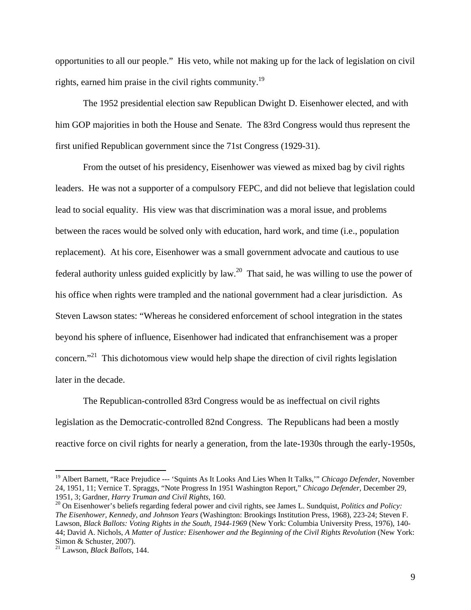opportunities to all our people." His veto, while not making up for the lack of legislation on civil rights, earned him praise in the civil rights community.19

 The 1952 presidential election saw Republican Dwight D. Eisenhower elected, and with him GOP majorities in both the House and Senate. The 83rd Congress would thus represent the first unified Republican government since the 71st Congress (1929-31).

From the outset of his presidency, Eisenhower was viewed as mixed bag by civil rights leaders. He was not a supporter of a compulsory FEPC, and did not believe that legislation could lead to social equality. His view was that discrimination was a moral issue, and problems between the races would be solved only with education, hard work, and time (i.e., population replacement). At his core, Eisenhower was a small government advocate and cautious to use federal authority unless guided explicitly by law.20 That said, he was willing to use the power of his office when rights were trampled and the national government had a clear jurisdiction. As Steven Lawson states: "Whereas he considered enforcement of school integration in the states beyond his sphere of influence, Eisenhower had indicated that enfranchisement was a proper concern."<sup>21</sup> This dichotomous view would help shape the direction of civil rights legislation later in the decade.

The Republican-controlled 83rd Congress would be as ineffectual on civil rights legislation as the Democratic-controlled 82nd Congress. The Republicans had been a mostly reactive force on civil rights for nearly a generation, from the late-1930s through the early-1950s,

<sup>&</sup>lt;sup>19</sup> Albert Barnett, "Race Prejudice --- 'Squints As It Looks And Lies When It Talks," *Chicago Defender*, November 24, 1951, 11; Vernice T. Spraggs, "Note Progress In 1951 Washington Report," *Chicago Defender*, December 29,

<sup>&</sup>lt;sup>20</sup> On Eisenhower's beliefs regarding federal power and civil rights, see James L. Sundquist, *Politics and Policy: The Eisenhower, Kennedy, and Johnson Years* (Washington: Brookings Institution Press, 1968), 223-24; Steven F. Lawson, *Black Ballots: Voting Rights in the South, 1944-1969* (New York: Columbia University Press, 1976), 140- 44; David A. Nichols, *A Matter of Justice: Eisenhower and the Beginning of the Civil Rights Revolution* (New York: Simon & Schuster, 2007).

<sup>21</sup> Lawson, *Black Ballots*, 144.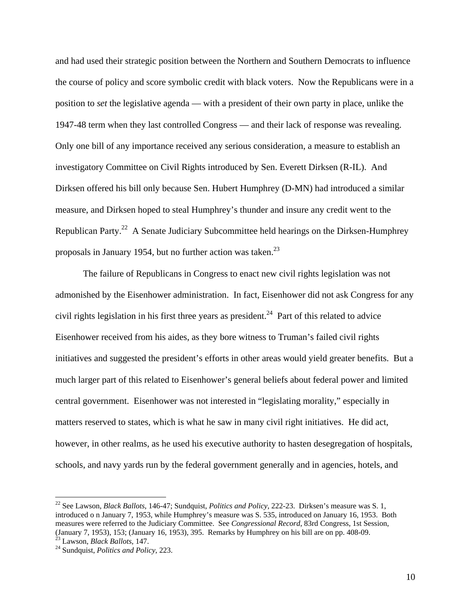and had used their strategic position between the Northern and Southern Democrats to influence the course of policy and score symbolic credit with black voters. Now the Republicans were in a position to *set* the legislative agenda — with a president of their own party in place, unlike the 1947-48 term when they last controlled Congress — and their lack of response was revealing. Only one bill of any importance received any serious consideration, a measure to establish an investigatory Committee on Civil Rights introduced by Sen. Everett Dirksen (R-IL). And Dirksen offered his bill only because Sen. Hubert Humphrey (D-MN) had introduced a similar measure, and Dirksen hoped to steal Humphrey's thunder and insure any credit went to the Republican Party.<sup>22</sup> A Senate Judiciary Subcommittee held hearings on the Dirksen-Humphrey proposals in January 1954, but no further action was taken. $^{23}$ 

The failure of Republicans in Congress to enact new civil rights legislation was not admonished by the Eisenhower administration. In fact, Eisenhower did not ask Congress for any civil rights legislation in his first three years as president.<sup>24</sup> Part of this related to advice Eisenhower received from his aides, as they bore witness to Truman's failed civil rights initiatives and suggested the president's efforts in other areas would yield greater benefits. But a much larger part of this related to Eisenhower's general beliefs about federal power and limited central government. Eisenhower was not interested in "legislating morality," especially in matters reserved to states, which is what he saw in many civil right initiatives. He did act, however, in other realms, as he used his executive authority to hasten desegregation of hospitals, schools, and navy yards run by the federal government generally and in agencies, hotels, and

<sup>22</sup> See Lawson, *Black Ballots*, 146-47; Sundquist, *Politics and Policy*, 222-23. Dirksen's measure was S. 1, introduced o n January 7, 1953, while Humphrey's measure was S. 535, introduced on January 16, 1953. Both measures were referred to the Judiciary Committee. See *Congressional Record*, 83rd Congress, 1st Session, (January 7, 1953), 153; (January 16, 1953), 395. Remarks by Humphrey on his bill are on pp. 408-09.

<sup>&</sup>lt;sup>24</sup> Sundquist, *Politics and Policy*, 223.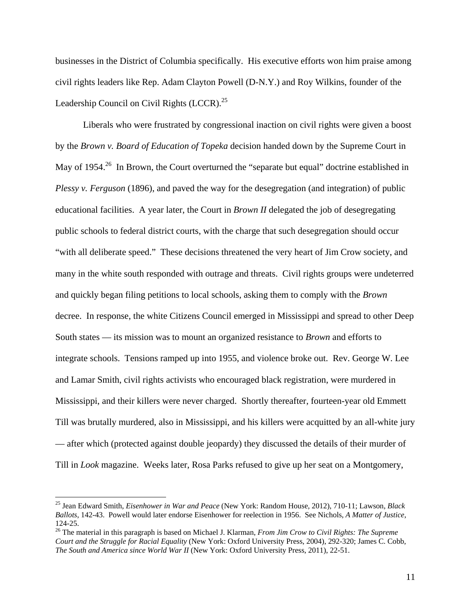businesses in the District of Columbia specifically. His executive efforts won him praise among civil rights leaders like Rep. Adam Clayton Powell (D-N.Y.) and Roy Wilkins, founder of the Leadership Council on Civil Rights  $(LCCR)^{25}$ 

Liberals who were frustrated by congressional inaction on civil rights were given a boost by the *Brown v. Board of Education of Topeka* decision handed down by the Supreme Court in May of 1954.<sup>26</sup> In Brown, the Court overturned the "separate but equal" doctrine established in *Plessy v. Ferguson* (1896), and paved the way for the desegregation (and integration) of public educational facilities. A year later, the Court in *Brown II* delegated the job of desegregating public schools to federal district courts, with the charge that such desegregation should occur "with all deliberate speed." These decisions threatened the very heart of Jim Crow society, and many in the white south responded with outrage and threats. Civil rights groups were undeterred and quickly began filing petitions to local schools, asking them to comply with the *Brown* decree. In response, the white Citizens Council emerged in Mississippi and spread to other Deep South states — its mission was to mount an organized resistance to *Brown* and efforts to integrate schools. Tensions ramped up into 1955, and violence broke out. Rev. George W. Lee and Lamar Smith, civil rights activists who encouraged black registration, were murdered in Mississippi, and their killers were never charged. Shortly thereafter, fourteen-year old Emmett Till was brutally murdered, also in Mississippi, and his killers were acquitted by an all-white jury — after which (protected against double jeopardy) they discussed the details of their murder of Till in *Look* magazine. Weeks later, Rosa Parks refused to give up her seat on a Montgomery,

<sup>25</sup> Jean Edward Smith, *Eisenhower in War and Peace* (New York: Random House, 2012), 710-11; Lawson, *Black Ballots*, 142-43. Powell would later endorse Eisenhower for reelection in 1956. See Nichols, *A Matter of Justice*, 124-25.

<sup>26</sup> The material in this paragraph is based on Michael J. Klarman, *From Jim Crow to Civil Rights: The Supreme Court and the Struggle for Racial Equality* (New York: Oxford University Press, 2004), 292-320; James C. Cobb, *The South and America since World War II* (New York: Oxford University Press, 2011), 22-51.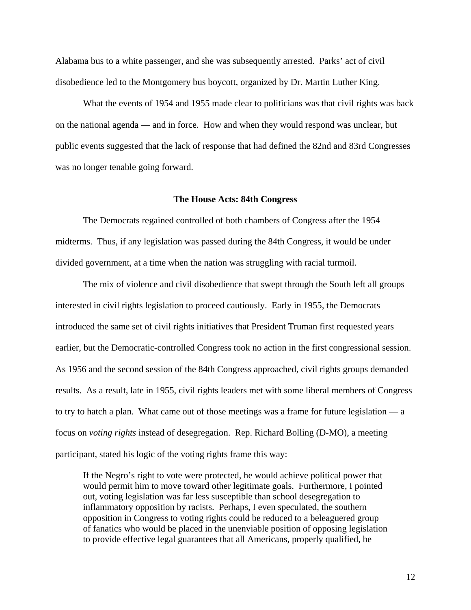Alabama bus to a white passenger, and she was subsequently arrested. Parks' act of civil disobedience led to the Montgomery bus boycott, organized by Dr. Martin Luther King.

What the events of 1954 and 1955 made clear to politicians was that civil rights was back on the national agenda — and in force. How and when they would respond was unclear, but public events suggested that the lack of response that had defined the 82nd and 83rd Congresses was no longer tenable going forward.

#### **The House Acts: 84th Congress**

 The Democrats regained controlled of both chambers of Congress after the 1954 midterms. Thus, if any legislation was passed during the 84th Congress, it would be under divided government, at a time when the nation was struggling with racial turmoil.

 The mix of violence and civil disobedience that swept through the South left all groups interested in civil rights legislation to proceed cautiously. Early in 1955, the Democrats introduced the same set of civil rights initiatives that President Truman first requested years earlier, but the Democratic-controlled Congress took no action in the first congressional session. As 1956 and the second session of the 84th Congress approached, civil rights groups demanded results. As a result, late in 1955, civil rights leaders met with some liberal members of Congress to try to hatch a plan. What came out of those meetings was a frame for future legislation — a focus on *voting rights* instead of desegregation. Rep. Richard Bolling (D-MO), a meeting participant, stated his logic of the voting rights frame this way:

If the Negro's right to vote were protected, he would achieve political power that would permit him to move toward other legitimate goals. Furthermore, I pointed out, voting legislation was far less susceptible than school desegregation to inflammatory opposition by racists. Perhaps, I even speculated, the southern opposition in Congress to voting rights could be reduced to a beleaguered group of fanatics who would be placed in the unenviable position of opposing legislation to provide effective legal guarantees that all Americans, properly qualified, be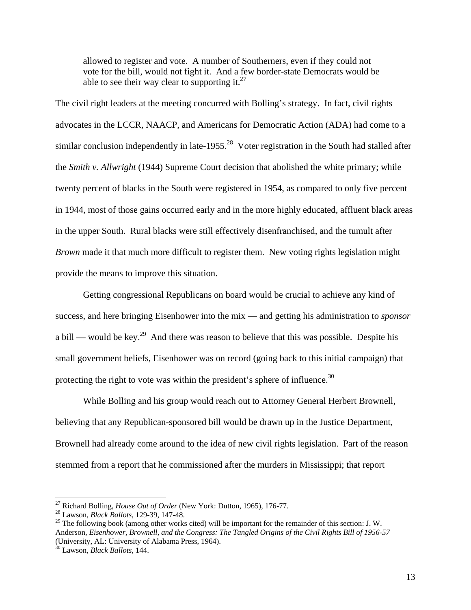allowed to register and vote. A number of Southerners, even if they could not vote for the bill, would not fight it. And a few border-state Democrats would be able to see their way clear to supporting it. $^{27}$ 

The civil right leaders at the meeting concurred with Bolling's strategy. In fact, civil rights advocates in the LCCR, NAACP, and Americans for Democratic Action (ADA) had come to a similar conclusion independently in late-1955.<sup>28</sup> Voter registration in the South had stalled after the *Smith v. Allwright* (1944) Supreme Court decision that abolished the white primary; while twenty percent of blacks in the South were registered in 1954, as compared to only five percent in 1944, most of those gains occurred early and in the more highly educated, affluent black areas in the upper South. Rural blacks were still effectively disenfranchised, and the tumult after *Brown* made it that much more difficult to register them. New voting rights legislation might provide the means to improve this situation.

Getting congressional Republicans on board would be crucial to achieve any kind of success, and here bringing Eisenhower into the mix — and getting his administration to *sponsor* a bill — would be key.<sup>29</sup> And there was reason to believe that this was possible. Despite his small government beliefs, Eisenhower was on record (going back to this initial campaign) that protecting the right to vote was within the president's sphere of influence.<sup>30</sup>

While Bolling and his group would reach out to Attorney General Herbert Brownell, believing that any Republican-sponsored bill would be drawn up in the Justice Department, Brownell had already come around to the idea of new civil rights legislation. Part of the reason stemmed from a report that he commissioned after the murders in Mississippi; that report

<sup>27</sup> Richard Bolling, *House Out of Order* (New York: Dutton, 1965), 176-77. 28 Lawson, *Black Ballots*, 129-39, 147-48.

<sup>&</sup>lt;sup>29</sup> The following book (among other works cited) will be important for the remainder of this section: J. W. Anderson, *Eisenhower, Brownell, and the Congress: The Tangled Origins of the Civil Rights Bill of 1956-57* (University, AL: University of Alabama Press, 1964).

<sup>30</sup> Lawson, *Black Ballots*, 144.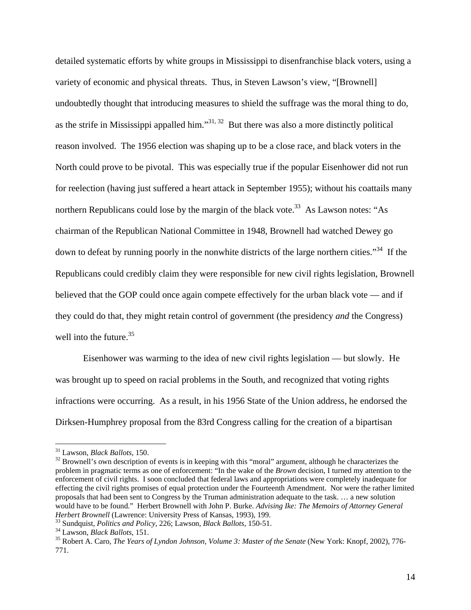detailed systematic efforts by white groups in Mississippi to disenfranchise black voters, using a variety of economic and physical threats. Thus, in Steven Lawson's view, "[Brownell] undoubtedly thought that introducing measures to shield the suffrage was the moral thing to do, as the strife in Mississippi appalled him."<sup>31, 32</sup> But there was also a more distinctly political reason involved. The 1956 election was shaping up to be a close race, and black voters in the North could prove to be pivotal. This was especially true if the popular Eisenhower did not run for reelection (having just suffered a heart attack in September 1955); without his coattails many northern Republicans could lose by the margin of the black vote.<sup>33</sup> As Lawson notes: "As chairman of the Republican National Committee in 1948, Brownell had watched Dewey go down to defeat by running poorly in the nonwhite districts of the large northern cities."<sup>34</sup> If the Republicans could credibly claim they were responsible for new civil rights legislation, Brownell believed that the GOP could once again compete effectively for the urban black vote — and if they could do that, they might retain control of government (the presidency *and* the Congress) well into the future. $35$ 

Eisenhower was warming to the idea of new civil rights legislation — but slowly. He was brought up to speed on racial problems in the South, and recognized that voting rights infractions were occurring. As a result, in his 1956 State of the Union address, he endorsed the Dirksen-Humphrey proposal from the 83rd Congress calling for the creation of a bipartisan

<sup>&</sup>lt;sup>31</sup> Lawson, *Black Ballots*, 150.<br><sup>32</sup> Brownell's own description of events is in keeping with this "moral" argument, although he characterizes the problem in pragmatic terms as one of enforcement: "In the wake of the *Brown* decision, I turned my attention to the enforcement of civil rights. I soon concluded that federal laws and appropriations were completely inadequate for effecting the civil rights promises of equal protection under the Fourteenth Amendment. Nor were the rather limited proposals that had been sent to Congress by the Truman administration adequate to the task. … a new solution would have to be found." Herbert Brownell with John P. Burke. *Advising Ike: The Memoirs of Attorney General Herbert Brownell* (Lawrence: University Press of Kansas, 1993), 199.<br><sup>33</sup> Sundquist, *Politics and Policy*, 226; Lawson, *Black Ballots*, 150-51.<br><sup>34</sup> Lawson, *Black Ballots*, 151.<br><sup>35</sup> Robert A. Caro, *The Years of Lyndo* 

<sup>771.</sup>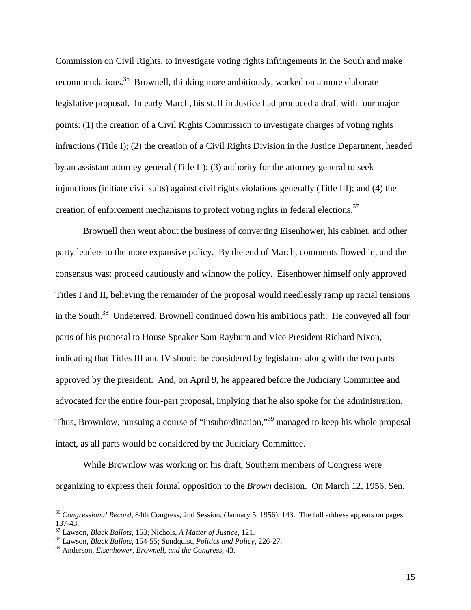Commission on Civil Rights, to investigate voting rights infringements in the South and make recommendations.36 Brownell, thinking more ambitiously, worked on a more elaborate legislative proposal. In early March, his staff in Justice had produced a draft with four major points: (1) the creation of a Civil Rights Commission to investigate charges of voting rights infractions (Title I); (2) the creation of a Civil Rights Division in the Justice Department, headed by an assistant attorney general (Title II); (3) authority for the attorney general to seek injunctions (initiate civil suits) against civil rights violations generally (Title III); and (4) the creation of enforcement mechanisms to protect voting rights in federal elections.<sup>37</sup>

Brownell then went about the business of converting Eisenhower, his cabinet, and other party leaders to the more expansive policy. By the end of March, comments flowed in, and the consensus was: proceed cautiously and winnow the policy. Eisenhower himself only approved Titles I and II, believing the remainder of the proposal would needlessly ramp up racial tensions in the South.<sup>38</sup> Undeterred, Brownell continued down his ambitious path. He conveyed all four parts of his proposal to House Speaker Sam Rayburn and Vice President Richard Nixon, indicating that Titles III and IV should be considered by legislators along with the two parts approved by the president. And, on April 9, he appeared before the Judiciary Committee and advocated for the entire four-part proposal, implying that he also spoke for the administration. Thus, Brownlow, pursuing a course of "insubordination,"39 managed to keep his whole proposal intact, as all parts would be considered by the Judiciary Committee.

While Brownlow was working on his draft, Southern members of Congress were organizing to express their formal opposition to the *Brown* decision. On March 12, 1956, Sen.

<sup>36</sup> *Congressional Record*, 84th Congress, 2nd Session, (January 5, 1956), 143. The full address appears on pages 137-43.<br><sup>37</sup> Lawson, *Black Ballots*, 153; Nichols, *A Matter of Justice*, 121.

<sup>&</sup>lt;sup>38</sup> Lawson, *Black Ballots*, 154-55; Sundquist, *Politics and Policy*, 226-27.

<sup>39</sup> Anderson, *Eisenhower, Brownell, and the Congress*, 43.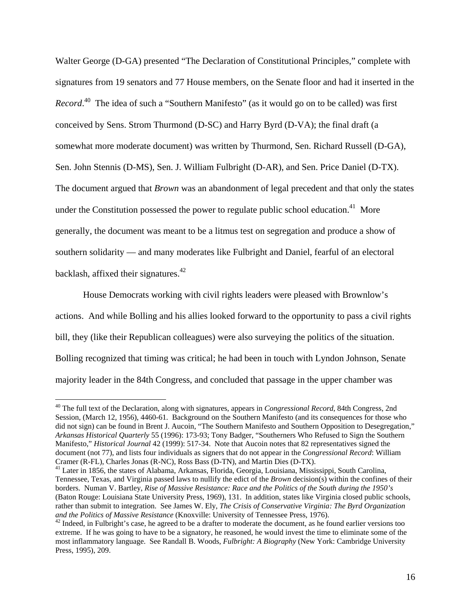Walter George (D-GA) presented "The Declaration of Constitutional Principles," complete with signatures from 19 senators and 77 House members, on the Senate floor and had it inserted in the *Record*. 40 The idea of such a "Southern Manifesto" (as it would go on to be called) was first conceived by Sens. Strom Thurmond (D-SC) and Harry Byrd (D-VA); the final draft (a somewhat more moderate document) was written by Thurmond, Sen. Richard Russell (D-GA), Sen. John Stennis (D-MS), Sen. J. William Fulbright (D-AR), and Sen. Price Daniel (D-TX). The document argued that *Brown* was an abandonment of legal precedent and that only the states under the Constitution possessed the power to regulate public school education.<sup>41</sup> More generally, the document was meant to be a litmus test on segregation and produce a show of southern solidarity — and many moderates like Fulbright and Daniel, fearful of an electoral backlash, affixed their signatures.42

House Democrats working with civil rights leaders were pleased with Brownlow's actions. And while Bolling and his allies looked forward to the opportunity to pass a civil rights bill, they (like their Republican colleagues) were also surveying the politics of the situation. Bolling recognized that timing was critical; he had been in touch with Lyndon Johnson, Senate majority leader in the 84th Congress, and concluded that passage in the upper chamber was

<sup>&</sup>lt;sup>40</sup> The full text of the Declaration, along with signatures, appears in *Congressional Record*, 84th Congress, 2nd Session, (March 12, 1956), 4460-61. Background on the Southern Manifesto (and its consequences for those who did not sign) can be found in Brent J. Aucoin, "The Southern Manifesto and Southern Opposition to Desegregation," *Arkansas Historical Quarterly* 55 (1996): 173-93; Tony Badger, "Southerners Who Refused to Sign the Southern Manifesto," *Historical Journal* 42 (1999): 517-34. Note that Aucoin notes that 82 representatives signed the document (not 77), and lists four individuals as signers that do not appear in the *Congressional Record*: William Cramer (R-FL), Charles Jonas (R-NC), Ross Bass (D-TN), and Martin Dies (D-TX).

<sup>&</sup>lt;sup>41</sup> Later in 1856, the states of Alabama, Arkansas, Florida, Georgia, Louisiana, Mississippi, South Carolina, Tennessee, Texas, and Virginia passed laws to nullify the edict of the *Brown* decision(s) within the confines of their borders. Numan V. Bartley, *Rise of Massive Resistance: Race and the Politics of the South during the 1950's* (Baton Rouge: Louisiana State University Press, 1969), 131. In addition, states like Virginia closed public schools, rather than submit to integration. See James W. Ely, *The Crisis of Conservative Virginia: The Byrd Organization and the Politics of Massive Resistance* (Knoxville: University of Tennessee Press, 1976).<br><sup>42</sup> Indeed, in Fulbright's case, he agreed to be a drafter to moderate the document, as he found earlier versions too

extreme. If he was going to have to be a signatory, he reasoned, he would invest the time to eliminate some of the most inflammatory language. See Randall B. Woods, *Fulbright: A Biography* (New York: Cambridge University Press, 1995), 209.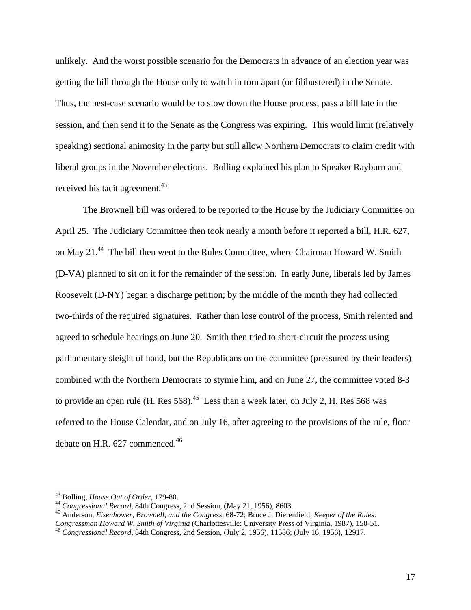unlikely. And the worst possible scenario for the Democrats in advance of an election year was getting the bill through the House only to watch in torn apart (or filibustered) in the Senate. Thus, the best-case scenario would be to slow down the House process, pass a bill late in the session, and then send it to the Senate as the Congress was expiring. This would limit (relatively speaking) sectional animosity in the party but still allow Northern Democrats to claim credit with liberal groups in the November elections. Bolling explained his plan to Speaker Rayburn and received his tacit agreement.<sup>43</sup>

The Brownell bill was ordered to be reported to the House by the Judiciary Committee on April 25. The Judiciary Committee then took nearly a month before it reported a bill, H.R. 627, on May 21.<sup>44</sup> The bill then went to the Rules Committee, where Chairman Howard W. Smith (D-VA) planned to sit on it for the remainder of the session. In early June, liberals led by James Roosevelt (D-NY) began a discharge petition; by the middle of the month they had collected two-thirds of the required signatures. Rather than lose control of the process, Smith relented and agreed to schedule hearings on June 20. Smith then tried to short-circuit the process using parliamentary sleight of hand, but the Republicans on the committee (pressured by their leaders) combined with the Northern Democrats to stymie him, and on June 27, the committee voted 8-3 to provide an open rule (H. Res  $568$ ).<sup>45</sup> Less than a week later, on July 2, H. Res  $568$  was referred to the House Calendar, and on July 16, after agreeing to the provisions of the rule, floor debate on H.R.  $627$  commenced.<sup>46</sup>

<sup>&</sup>lt;sup>43</sup> Bolling, *House Out of Order*, 179-80.<br><sup>44</sup> Congressional Record, 84th Congress, 2nd Session, (May 21, 1956), 8603.<br><sup>45</sup> Anderson, *Eisenhower, Brownell, and the Congress*, 68-72; Bruce J. Dierenfield, *Keeper of the* 

*Congressman Howard W. Smith of Virginia* (Charlottesville: University Press of Virginia, 1987), 150-51. 46 *Congressional Record*, 84th Congress, 2nd Session, (July 2, 1956), 11586; (July 16, 1956), 12917.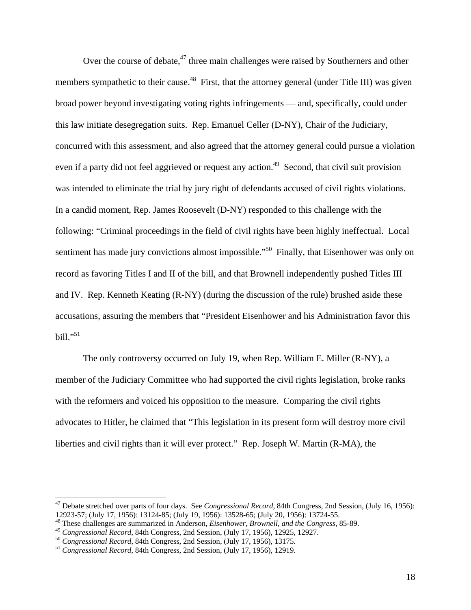Over the course of debate, $47$  three main challenges were raised by Southerners and other members sympathetic to their cause.<sup>48</sup> First, that the attorney general (under Title III) was given broad power beyond investigating voting rights infringements — and, specifically, could under this law initiate desegregation suits. Rep. Emanuel Celler (D-NY), Chair of the Judiciary, concurred with this assessment, and also agreed that the attorney general could pursue a violation even if a party did not feel aggrieved or request any action.<sup>49</sup> Second, that civil suit provision was intended to eliminate the trial by jury right of defendants accused of civil rights violations. In a candid moment, Rep. James Roosevelt (D-NY) responded to this challenge with the following: "Criminal proceedings in the field of civil rights have been highly ineffectual. Local sentiment has made jury convictions almost impossible."<sup>50</sup> Finally, that Eisenhower was only on record as favoring Titles I and II of the bill, and that Brownell independently pushed Titles III and IV. Rep. Kenneth Keating (R-NY) (during the discussion of the rule) brushed aside these accusations, assuring the members that "President Eisenhower and his Administration favor this bill."51

The only controversy occurred on July 19, when Rep. William E. Miller (R-NY), a member of the Judiciary Committee who had supported the civil rights legislation, broke ranks with the reformers and voiced his opposition to the measure. Comparing the civil rights advocates to Hitler, he claimed that "This legislation in its present form will destroy more civil liberties and civil rights than it will ever protect." Rep. Joseph W. Martin (R-MA), the

<sup>47</sup> Debate stretched over parts of four days. See *Congressional Record*, 84th Congress, 2nd Session, (July 16, 1956): 12923-57; (July 17, 1956): 13124-85; (July 19, 1956): 13528-65; (July 20, 1956): 13724-55.

<sup>&</sup>lt;sup>48</sup> These challenges are summarized in Anderson, *Eisenhower, Brownell, and the Congress*, 85-89.<br><sup>49</sup> Congressional Record, 84th Congress, 2nd Session, (July 17, 1956), 12925, 12927.

 $^{50}$  Congressional Record, 84th Congress, 2nd Session, (July 17, 1956), 13175.<br><sup>51</sup> Congressional Record, 84th Congress, 2nd Session, (July 17, 1956), 12919.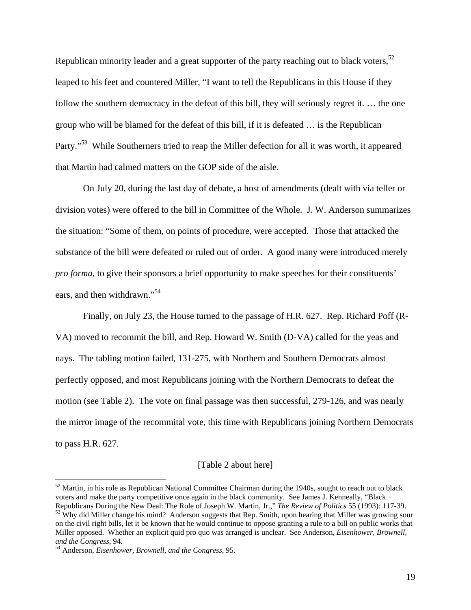Republican minority leader and a great supporter of the party reaching out to black voters,<sup>52</sup> leaped to his feet and countered Miller, "I want to tell the Republicans in this House if they follow the southern democracy in the defeat of this bill, they will seriously regret it. … the one group who will be blamed for the defeat of this bill, if it is defeated … is the Republican Party."<sup>53</sup> While Southerners tried to reap the Miller defection for all it was worth, it appeared that Martin had calmed matters on the GOP side of the aisle.

On July 20, during the last day of debate, a host of amendments (dealt with via teller or division votes) were offered to the bill in Committee of the Whole. J. W. Anderson summarizes the situation: "Some of them, on points of procedure, were accepted. Those that attacked the substance of the bill were defeated or ruled out of order. A good many were introduced merely *pro forma*, to give their sponsors a brief opportunity to make speeches for their constituents' ears, and then withdrawn."<sup>54</sup>

Finally, on July 23, the House turned to the passage of H.R. 627. Rep. Richard Poff (R-VA) moved to recommit the bill, and Rep. Howard W. Smith (D-VA) called for the yeas and nays. The tabling motion failed, 131-275, with Northern and Southern Democrats almost perfectly opposed, and most Republicans joining with the Northern Democrats to defeat the motion (see Table 2). The vote on final passage was then successful, 279-126, and was nearly the mirror image of the recommital vote, this time with Republicans joining Northern Democrats to pass H.R. 627.

#### [Table 2 about here]

<sup>&</sup>lt;sup>52</sup> Martin, in his role as Republican National Committee Chairman during the 1940s, sought to reach out to black voters and make the party competitive once again in the black community. See James J. Kenneally, "Black Republicans During the New Deal: The Role of Joseph W. Martin, Jr.," The Review of Politics 55 (1993): 117-39. <sup>53</sup> Why did Miller change his mind? Anderson suggests that Rep. Smith, upon hearing that Miller was growing sour on the civil right bills, let it be known that he would continue to oppose granting a rule to a bill on public works that Miller opposed. Whether an explicit quid pro quo was arranged is unclear. See Anderson, *Eisenhower, Brownell,* 

<sup>&</sup>lt;sup>54</sup> Anderson, *Eisenhower, Brownell, and the Congress*, 95.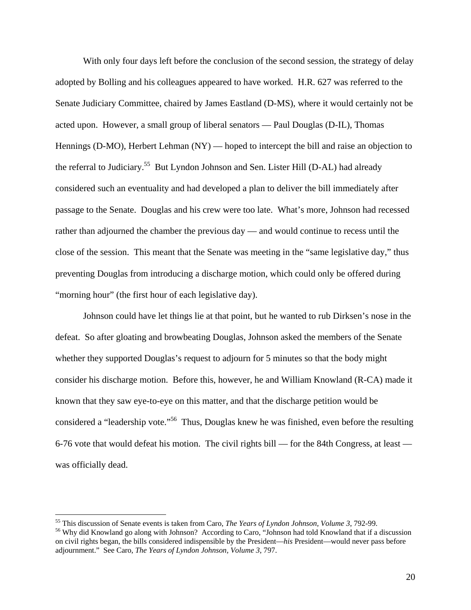With only four days left before the conclusion of the second session, the strategy of delay adopted by Bolling and his colleagues appeared to have worked. H.R. 627 was referred to the Senate Judiciary Committee, chaired by James Eastland (D-MS), where it would certainly not be acted upon. However, a small group of liberal senators — Paul Douglas (D-IL), Thomas Hennings (D-MO), Herbert Lehman (NY) — hoped to intercept the bill and raise an objection to the referral to Judiciary.<sup>55</sup> But Lyndon Johnson and Sen. Lister Hill (D-AL) had already considered such an eventuality and had developed a plan to deliver the bill immediately after passage to the Senate. Douglas and his crew were too late. What's more, Johnson had recessed rather than adjourned the chamber the previous day — and would continue to recess until the close of the session. This meant that the Senate was meeting in the "same legislative day," thus preventing Douglas from introducing a discharge motion, which could only be offered during "morning hour" (the first hour of each legislative day).

Johnson could have let things lie at that point, but he wanted to rub Dirksen's nose in the defeat. So after gloating and browbeating Douglas, Johnson asked the members of the Senate whether they supported Douglas's request to adjourn for 5 minutes so that the body might consider his discharge motion. Before this, however, he and William Knowland (R-CA) made it known that they saw eye-to-eye on this matter, and that the discharge petition would be considered a "leadership vote."56 Thus, Douglas knew he was finished, even before the resulting 6-76 vote that would defeat his motion. The civil rights bill — for the 84th Congress, at least was officially dead.

<sup>&</sup>lt;sup>55</sup> This discussion of Senate events is taken from Caro, *The Years of Lyndon Johnson*, *Volume 3*, 792-99.

<sup>&</sup>lt;sup>56</sup> Why did Knowland go along with Johnson? According to Caro, "Johnson had told Knowland that if a discussion on civil rights began, the bills considered indispensible by the President—*his* President—would never pass before adjournment." See Caro, *The Years of Lyndon Johnson, Volume 3*, 797.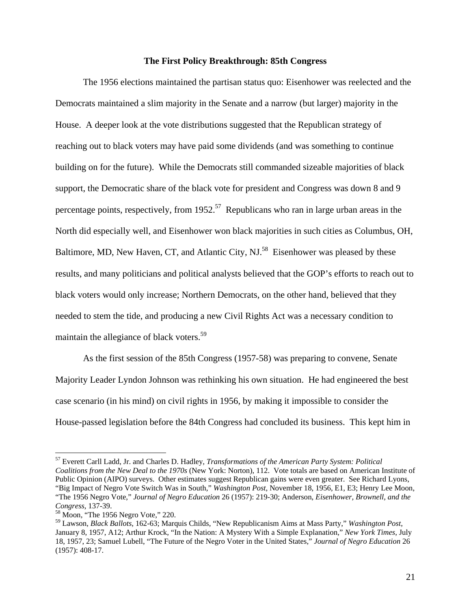#### **The First Policy Breakthrough: 85th Congress**

The 1956 elections maintained the partisan status quo: Eisenhower was reelected and the Democrats maintained a slim majority in the Senate and a narrow (but larger) majority in the House. A deeper look at the vote distributions suggested that the Republican strategy of reaching out to black voters may have paid some dividends (and was something to continue building on for the future). While the Democrats still commanded sizeable majorities of black support, the Democratic share of the black vote for president and Congress was down 8 and 9 percentage points, respectively, from 1952.<sup>57</sup> Republicans who ran in large urban areas in the North did especially well, and Eisenhower won black majorities in such cities as Columbus, OH, Baltimore, MD, New Haven, CT, and Atlantic City, NJ.<sup>58</sup> Eisenhower was pleased by these results, and many politicians and political analysts believed that the GOP's efforts to reach out to black voters would only increase; Northern Democrats, on the other hand, believed that they needed to stem the tide, and producing a new Civil Rights Act was a necessary condition to maintain the allegiance of black voters.<sup>59</sup>

As the first session of the 85th Congress (1957-58) was preparing to convene, Senate Majority Leader Lyndon Johnson was rethinking his own situation. He had engineered the best case scenario (in his mind) on civil rights in 1956, by making it impossible to consider the House-passed legislation before the 84th Congress had concluded its business. This kept him in

<sup>57</sup> Everett Carll Ladd, Jr. and Charles D. Hadley, *Transformations of the American Party System: Political Coalitions from the New Deal to the 1970s* (New York: Norton), 112. Vote totals are based on American Institute of Public Opinion (AIPO) surveys. Other estimates suggest Republican gains were even greater. See Richard Lyons, "Big Impact of Negro Vote Switch Was in South," *Washington Post*, November 18, 1956, E1, E3; Henry Lee Moon, "The 1956 Negro Vote," *Journal of Negro Education* 26 (1957): 219-30; Anderson, *Eisenhower, Brownell, and the Congress*, 137-39.<br><sup>58</sup> Moon, "The 1956 Negro Vote," 220.

<sup>59</sup> Lawson, *Black Ballots*, 162-63; Marquis Childs, "New Republicanism Aims at Mass Party," *Washington Post*, January 8, 1957, A12; Arthur Krock, "In the Nation: A Mystery With a Simple Explanation," *New York Times*, July 18, 1957, 23; Samuel Lubell, "The Future of the Negro Voter in the United States," *Journal of Negro Education* 26 (1957): 408-17.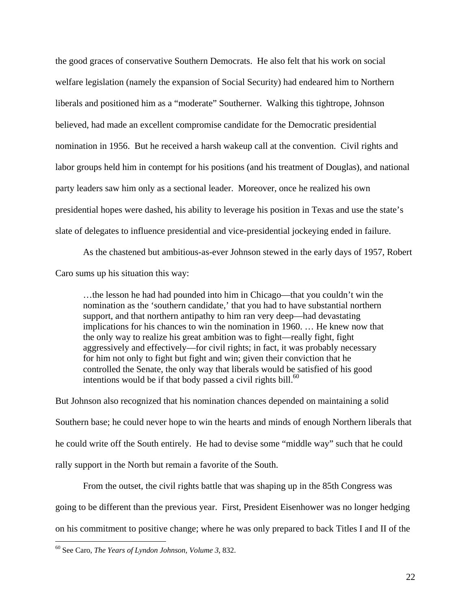the good graces of conservative Southern Democrats. He also felt that his work on social welfare legislation (namely the expansion of Social Security) had endeared him to Northern liberals and positioned him as a "moderate" Southerner. Walking this tightrope, Johnson believed, had made an excellent compromise candidate for the Democratic presidential nomination in 1956. But he received a harsh wakeup call at the convention. Civil rights and labor groups held him in contempt for his positions (and his treatment of Douglas), and national party leaders saw him only as a sectional leader. Moreover, once he realized his own presidential hopes were dashed, his ability to leverage his position in Texas and use the state's slate of delegates to influence presidential and vice-presidential jockeying ended in failure.

As the chastened but ambitious-as-ever Johnson stewed in the early days of 1957, Robert Caro sums up his situation this way:

…the lesson he had had pounded into him in Chicago—that you couldn't win the nomination as the 'southern candidate,' that you had to have substantial northern support, and that northern antipathy to him ran very deep—had devastating implications for his chances to win the nomination in 1960. … He knew now that the only way to realize his great ambition was to fight—really fight, fight aggressively and effectively—for civil rights; in fact, it was probably necessary for him not only to fight but fight and win; given their conviction that he controlled the Senate, the only way that liberals would be satisfied of his good intentions would be if that body passed a civil rights bill.<sup>60</sup>

But Johnson also recognized that his nomination chances depended on maintaining a solid Southern base; he could never hope to win the hearts and minds of enough Northern liberals that he could write off the South entirely. He had to devise some "middle way" such that he could rally support in the North but remain a favorite of the South.

 From the outset, the civil rights battle that was shaping up in the 85th Congress was going to be different than the previous year. First, President Eisenhower was no longer hedging on his commitment to positive change; where he was only prepared to back Titles I and II of the

<sup>60</sup> See Caro, *The Years of Lyndon Johnson, Volume 3*, 832.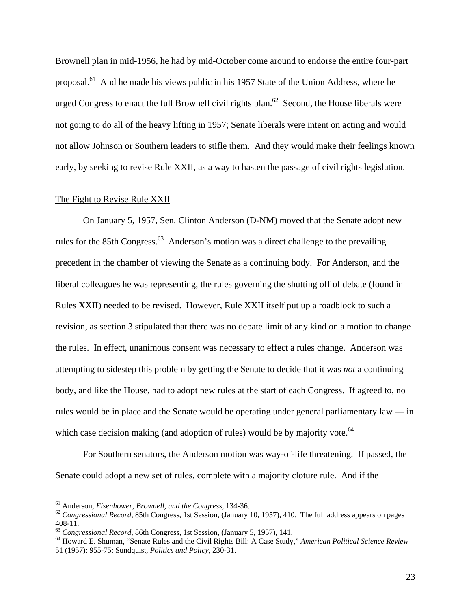Brownell plan in mid-1956, he had by mid-October come around to endorse the entire four-part proposal.<sup>61</sup> And he made his views public in his 1957 State of the Union Address, where he urged Congress to enact the full Brownell civil rights plan.<sup>62</sup> Second, the House liberals were not going to do all of the heavy lifting in 1957; Senate liberals were intent on acting and would not allow Johnson or Southern leaders to stifle them. And they would make their feelings known early, by seeking to revise Rule XXII, as a way to hasten the passage of civil rights legislation.

#### The Fight to Revise Rule XXII

On January 5, 1957, Sen. Clinton Anderson (D-NM) moved that the Senate adopt new rules for the 85th Congress.<sup>63</sup> Anderson's motion was a direct challenge to the prevailing precedent in the chamber of viewing the Senate as a continuing body. For Anderson, and the liberal colleagues he was representing, the rules governing the shutting off of debate (found in Rules XXII) needed to be revised. However, Rule XXII itself put up a roadblock to such a revision, as section 3 stipulated that there was no debate limit of any kind on a motion to change the rules. In effect, unanimous consent was necessary to effect a rules change. Anderson was attempting to sidestep this problem by getting the Senate to decide that it was *not* a continuing body, and like the House, had to adopt new rules at the start of each Congress. If agreed to, no rules would be in place and the Senate would be operating under general parliamentary law — in which case decision making (and adoption of rules) would be by majority vote. $64$ 

For Southern senators, the Anderson motion was way-of-life threatening. If passed, the Senate could adopt a new set of rules, complete with a majority cloture rule. And if the

<sup>&</sup>lt;sup>61</sup> Anderson, *Eisenhower, Brownell, and the Congress*, 134-36.<br><sup>62</sup> *Congressional Record*, 85th Congress, 1st Session, (January 10, 1957), 410. The full address appears on pages 408-11.<br><sup>63</sup> Congressional Record, 86th Congress, 1st Session, (January 5, 1957), 141.

<sup>&</sup>lt;sup>64</sup> Howard E. Shuman, "Senate Rules and the Civil Rights Bill: A Case Study," *American Political Science Review* 51 (1957): 955-75: Sundquist, *Politics and Policy*, 230-31.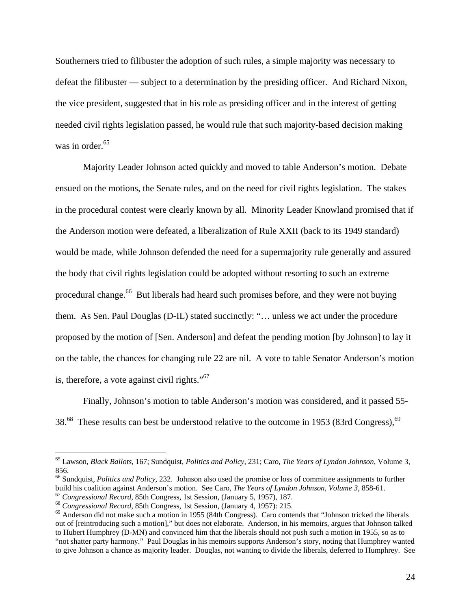Southerners tried to filibuster the adoption of such rules, a simple majority was necessary to defeat the filibuster — subject to a determination by the presiding officer. And Richard Nixon, the vice president, suggested that in his role as presiding officer and in the interest of getting needed civil rights legislation passed, he would rule that such majority-based decision making was in order. $65$ 

 Majority Leader Johnson acted quickly and moved to table Anderson's motion. Debate ensued on the motions, the Senate rules, and on the need for civil rights legislation. The stakes in the procedural contest were clearly known by all. Minority Leader Knowland promised that if the Anderson motion were defeated, a liberalization of Rule XXII (back to its 1949 standard) would be made, while Johnson defended the need for a supermajority rule generally and assured the body that civil rights legislation could be adopted without resorting to such an extreme procedural change.<sup>66</sup> But liberals had heard such promises before, and they were not buying them. As Sen. Paul Douglas (D-IL) stated succinctly: "… unless we act under the procedure proposed by the motion of [Sen. Anderson] and defeat the pending motion [by Johnson] to lay it on the table, the chances for changing rule 22 are nil. A vote to table Senator Anderson's motion is, therefore, a vote against civil rights."67

 Finally, Johnson's motion to table Anderson's motion was considered, and it passed 55- 38.<sup>68</sup> These results can best be understood relative to the outcome in 1953 (83rd Congress),<sup>69</sup>

<sup>65</sup> Lawson, *Black Ballots*, 167; Sundquist, *Politics and Policy*, 231; Caro, *The Years of Lyndon Johnson*, Volume 3, 856.

<sup>66</sup> Sundquist, *Politics and Policy*, 232. Johnson also used the promise or loss of committee assignments to further build his coalition against Anderson's motion. See Caro, *The Years of Lyndon Johnson, Volume 3*, 858-61.<br><sup>67</sup> Congressional Record, 85th Congress, 1st Session, (January 5, 1957), 187.<br><sup>68</sup> Congressional Record, 85th Congr

out of [reintroducing such a motion]," but does not elaborate. Anderson, in his memoirs, argues that Johnson talked to Hubert Humphrey (D-MN) and convinced him that the liberals should not push such a motion in 1955, so as to "not shatter party harmony." Paul Douglas in his memoirs supports Anderson's story, noting that Humphrey wanted to give Johnson a chance as majority leader. Douglas, not wanting to divide the liberals, deferred to Humphrey. See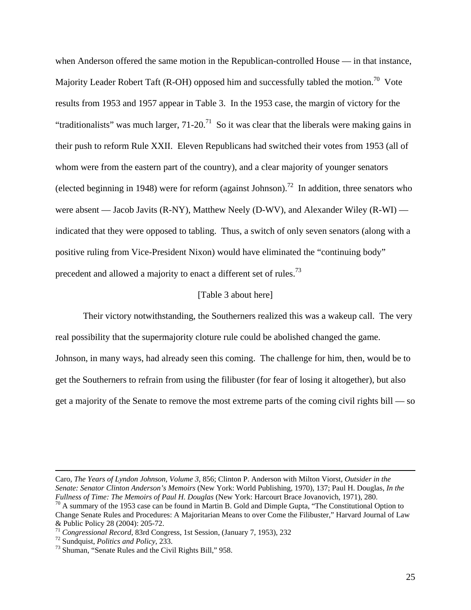when Anderson offered the same motion in the Republican-controlled House — in that instance, Majority Leader Robert Taft (R-OH) opposed him and successfully tabled the motion.<sup>70</sup> Vote results from 1953 and 1957 appear in Table 3. In the 1953 case, the margin of victory for the "traditionalists" was much larger,  $71-20$ <sup>71</sup> So it was clear that the liberals were making gains in their push to reform Rule XXII. Eleven Republicans had switched their votes from 1953 (all of whom were from the eastern part of the country), and a clear majority of younger senators (elected beginning in 1948) were for reform (against Johnson).<sup>72</sup> In addition, three senators who were absent — Jacob Javits (R-NY), Matthew Neely (D-WV), and Alexander Wiley (R-WI) indicated that they were opposed to tabling. Thus, a switch of only seven senators (along with a positive ruling from Vice-President Nixon) would have eliminated the "continuing body" precedent and allowed a majority to enact a different set of rules.<sup>73</sup>

### [Table 3 about here]

 Their victory notwithstanding, the Southerners realized this was a wakeup call. The very real possibility that the supermajority cloture rule could be abolished changed the game. Johnson, in many ways, had already seen this coming. The challenge for him, then, would be to get the Southerners to refrain from using the filibuster (for fear of losing it altogether), but also get a majority of the Senate to remove the most extreme parts of the coming civil rights bill — so

Caro, *The Years of Lyndon Johnson, Volume 3*, 856; Clinton P. Anderson with Milton Viorst, *Outsider in the Senate: Senator Clinton Anderson's Memoirs* (New York: World Publishing, 1970), 137; Paul H. Douglas, *In the* 

<sup>&</sup>lt;sup>70</sup> A summary of the 1953 case can be found in Martin B. Gold and Dimple Gupta, "The Constitutional Option to Change Senate Rules and Procedures: A Majoritarian Means to over Come the Filibuster," Harvard Journal of Law & Public Policy 28 (2004): 205-72.

<sup>&</sup>lt;sup>71</sup> *Congressional Record*, 83rd Congress, 1st Session, (January 7, 1953), 232<br><sup>72</sup> Sundquist, *Politics and Policy*, 233. 73 Shuman, "Senate Rules and the Civil Rights Bill," 958.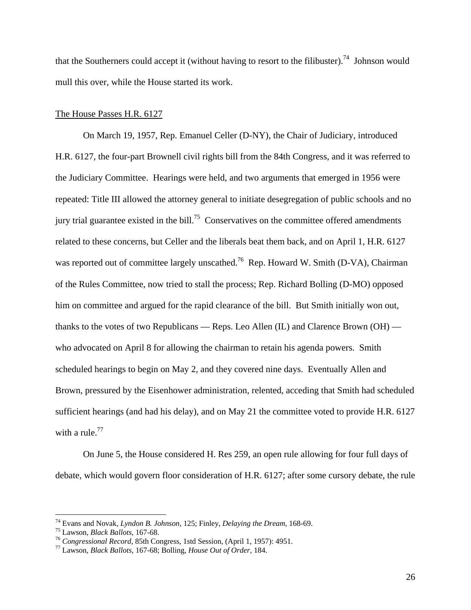that the Southerners could accept it (without having to resort to the filibuster).<sup>74</sup> Johnson would mull this over, while the House started its work.

# The House Passes H.R. 6127

 On March 19, 1957, Rep. Emanuel Celler (D-NY), the Chair of Judiciary, introduced H.R. 6127, the four-part Brownell civil rights bill from the 84th Congress, and it was referred to the Judiciary Committee. Hearings were held, and two arguments that emerged in 1956 were repeated: Title III allowed the attorney general to initiate desegregation of public schools and no jury trial guarantee existed in the bill.<sup>75</sup> Conservatives on the committee offered amendments related to these concerns, but Celler and the liberals beat them back, and on April 1, H.R. 6127 was reported out of committee largely unscathed.<sup>76</sup> Rep. Howard W. Smith (D-VA), Chairman of the Rules Committee, now tried to stall the process; Rep. Richard Bolling (D-MO) opposed him on committee and argued for the rapid clearance of the bill. But Smith initially won out, thanks to the votes of two Republicans — Reps. Leo Allen  $(IL)$  and Clarence Brown  $(OH)$  who advocated on April 8 for allowing the chairman to retain his agenda powers. Smith scheduled hearings to begin on May 2, and they covered nine days. Eventually Allen and Brown, pressured by the Eisenhower administration, relented, acceding that Smith had scheduled sufficient hearings (and had his delay), and on May 21 the committee voted to provide H.R. 6127 with a rule. $^{77}$ 

 On June 5, the House considered H. Res 259, an open rule allowing for four full days of debate, which would govern floor consideration of H.R. 6127; after some cursory debate, the rule

<sup>&</sup>lt;sup>74</sup> Evans and Novak, *Lyndon B. Johnson*, 125; Finley, *Delaying the Dream*, 168-69.<br><sup>75</sup> Lawson, *Black Ballots*, 167-68.<br><sup>76</sup> Congressional Record, 85th Congress, 1std Session, (April 1, 1957): 4951.<br><sup>77</sup> Lawson, *Blac*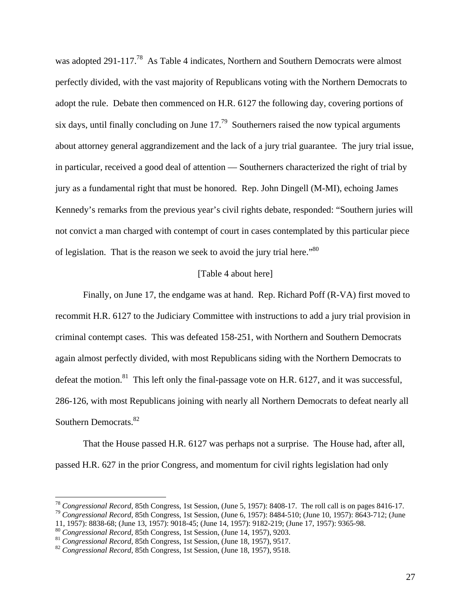was adopted 291-117.<sup>78</sup> As Table 4 indicates, Northern and Southern Democrats were almost perfectly divided, with the vast majority of Republicans voting with the Northern Democrats to adopt the rule. Debate then commenced on H.R. 6127 the following day, covering portions of six days, until finally concluding on June  $17<sup>79</sup>$  Southerners raised the now typical arguments about attorney general aggrandizement and the lack of a jury trial guarantee. The jury trial issue, in particular, received a good deal of attention — Southerners characterized the right of trial by jury as a fundamental right that must be honored. Rep. John Dingell (M-MI), echoing James Kennedy's remarks from the previous year's civil rights debate, responded: "Southern juries will not convict a man charged with contempt of court in cases contemplated by this particular piece of legislation. That is the reason we seek to avoid the jury trial here.<sup>80</sup>

# [Table 4 about here]

Finally, on June 17, the endgame was at hand. Rep. Richard Poff (R-VA) first moved to recommit H.R. 6127 to the Judiciary Committee with instructions to add a jury trial provision in criminal contempt cases. This was defeated 158-251, with Northern and Southern Democrats again almost perfectly divided, with most Republicans siding with the Northern Democrats to defeat the motion.<sup>81</sup> This left only the final-passage vote on H.R. 6127, and it was successful, 286-126, with most Republicans joining with nearly all Northern Democrats to defeat nearly all Southern Democrats.<sup>82</sup>

 That the House passed H.R. 6127 was perhaps not a surprise. The House had, after all, passed H.R. 627 in the prior Congress, and momentum for civil rights legislation had only

<sup>&</sup>lt;sup>78</sup> Congressional Record, 85th Congress, 1st Session, (June 5, 1957): 8408-17. The roll call is on pages 8416-17.

<sup>&</sup>lt;sup>79</sup> Congressional Record, 85th Congress, 1st Session, (June 6, 1957): 8484-510; (June 10, 1957): 8643-712; (June 11, 1957): 8838-68; (June 13, 1957): 9018-45; (June 14, 1957): 9182-219; (June 17, 1957): 9365-98.<br><sup>80</sup> Congressional Record, 85th Congress, 1st Session, (June 14, 1957), 9203.

 $^{81}$  Congressional Record, 85th Congress, 1st Session, (June 18, 1957), 9517.<br> $^{82}$  Congressional Record, 85th Congress, 1st Session, (June 18, 1957), 9518.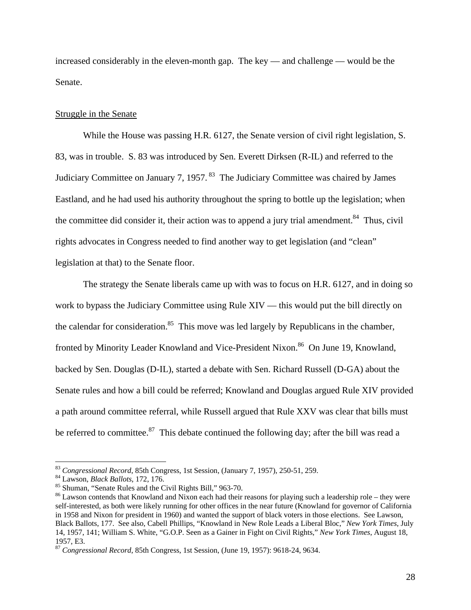increased considerably in the eleven-month gap. The key — and challenge — would be the Senate.

### Struggle in the Senate

 While the House was passing H.R. 6127, the Senate version of civil right legislation, S. 83, was in trouble. S. 83 was introduced by Sen. Everett Dirksen (R-IL) and referred to the Judiciary Committee on January 7, 1957. 83 The Judiciary Committee was chaired by James Eastland, and he had used his authority throughout the spring to bottle up the legislation; when the committee did consider it, their action was to append a jury trial amendment.<sup>84</sup> Thus, civil rights advocates in Congress needed to find another way to get legislation (and "clean" legislation at that) to the Senate floor.

 The strategy the Senate liberals came up with was to focus on H.R. 6127, and in doing so work to bypass the Judiciary Committee using Rule XIV — this would put the bill directly on the calendar for consideration.<sup>85</sup> This move was led largely by Republicans in the chamber, fronted by Minority Leader Knowland and Vice-President Nixon.<sup>86</sup> On June 19, Knowland, backed by Sen. Douglas (D-IL), started a debate with Sen. Richard Russell (D-GA) about the Senate rules and how a bill could be referred; Knowland and Douglas argued Rule XIV provided a path around committee referral, while Russell argued that Rule XXV was clear that bills must be referred to committee. $87$  This debate continued the following day; after the bill was read a

<sup>83</sup> *Congressional Record*, 85th Congress, 1st Session, (January 7, 1957), 250-51, 259. 84 Lawson, *Black Ballots*, 172, 176. 85 Shuman, "Senate Rules and the Civil Rights Bill," 963-70.

<sup>86</sup> Lawson contends that Knowland and Nixon each had their reasons for playing such a leadership role – they were self-interested, as both were likely running for other offices in the near future (Knowland for governor of California in 1958 and Nixon for president in 1960) and wanted the support of black voters in those elections. See Lawson, Black Ballots, 177. See also, Cabell Phillips, "Knowland in New Role Leads a Liberal Bloc," *New York Times*, July 14, 1957, 141; William S. White, "G.O.P. Seen as a Gainer in Fight on Civil Rights," *New York Times*, August 18, 1957, E3.

<sup>87</sup> *Congressional Record*, 85th Congress, 1st Session, (June 19, 1957): 9618-24, 9634.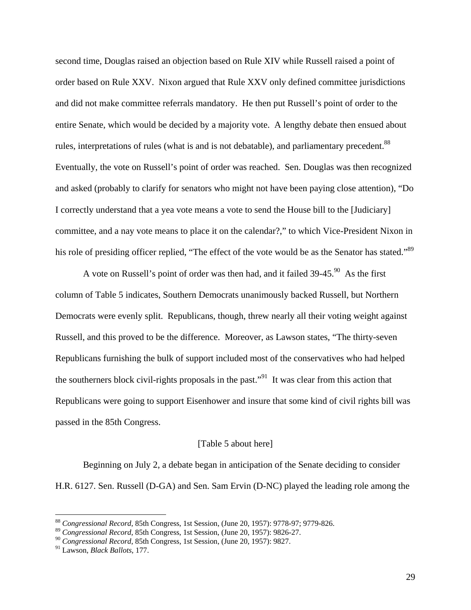second time, Douglas raised an objection based on Rule XIV while Russell raised a point of order based on Rule XXV. Nixon argued that Rule XXV only defined committee jurisdictions and did not make committee referrals mandatory. He then put Russell's point of order to the entire Senate, which would be decided by a majority vote. A lengthy debate then ensued about rules, interpretations of rules (what is and is not debatable), and parliamentary precedent.<sup>88</sup> Eventually, the vote on Russell's point of order was reached. Sen. Douglas was then recognized and asked (probably to clarify for senators who might not have been paying close attention), "Do I correctly understand that a yea vote means a vote to send the House bill to the [Judiciary] committee, and a nay vote means to place it on the calendar?," to which Vice-President Nixon in his role of presiding officer replied, "The effect of the vote would be as the Senator has stated."<sup>89</sup>

A vote on Russell's point of order was then had, and it failed  $39-45.90$  As the first column of Table 5 indicates, Southern Democrats unanimously backed Russell, but Northern Democrats were evenly split. Republicans, though, threw nearly all their voting weight against Russell, and this proved to be the difference. Moreover, as Lawson states, "The thirty-seven Republicans furnishing the bulk of support included most of the conservatives who had helped the southerners block civil-rights proposals in the past."<sup>91</sup> It was clear from this action that Republicans were going to support Eisenhower and insure that some kind of civil rights bill was passed in the 85th Congress.

#### [Table 5 about here]

 Beginning on July 2, a debate began in anticipation of the Senate deciding to consider H.R. 6127. Sen. Russell (D-GA) and Sen. Sam Ervin (D-NC) played the leading role among the

<sup>88</sup> *Congressional Record*, 85th Congress, 1st Session, (June 20, 1957): 9778-97; 9779-826.

<sup>89</sup> *Congressional Record*, 85th Congress, 1st Session, (June 20, 1957): 9826-27.

<sup>90</sup> *Congressional Record*, 85th Congress, 1st Session, (June 20, 1957): 9827.

<sup>91</sup> Lawson, *Black Ballots*, 177.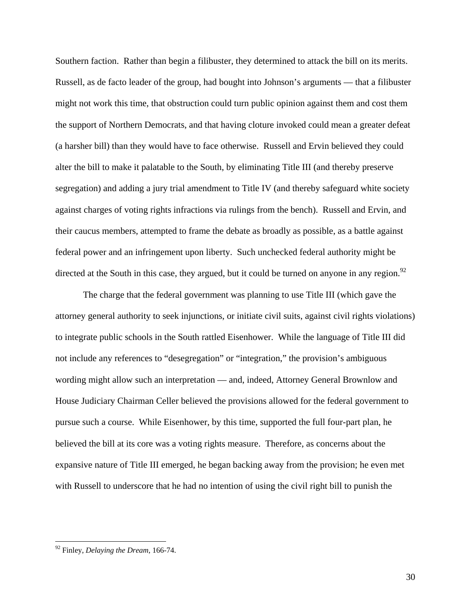Southern faction. Rather than begin a filibuster, they determined to attack the bill on its merits. Russell, as de facto leader of the group, had bought into Johnson's arguments — that a filibuster might not work this time, that obstruction could turn public opinion against them and cost them the support of Northern Democrats, and that having cloture invoked could mean a greater defeat (a harsher bill) than they would have to face otherwise. Russell and Ervin believed they could alter the bill to make it palatable to the South, by eliminating Title III (and thereby preserve segregation) and adding a jury trial amendment to Title IV (and thereby safeguard white society against charges of voting rights infractions via rulings from the bench). Russell and Ervin, and their caucus members, attempted to frame the debate as broadly as possible, as a battle against federal power and an infringement upon liberty. Such unchecked federal authority might be directed at the South in this case, they argued, but it could be turned on anyone in any region. $92$ 

 The charge that the federal government was planning to use Title III (which gave the attorney general authority to seek injunctions, or initiate civil suits, against civil rights violations) to integrate public schools in the South rattled Eisenhower. While the language of Title III did not include any references to "desegregation" or "integration," the provision's ambiguous wording might allow such an interpretation — and, indeed, Attorney General Brownlow and House Judiciary Chairman Celler believed the provisions allowed for the federal government to pursue such a course. While Eisenhower, by this time, supported the full four-part plan, he believed the bill at its core was a voting rights measure. Therefore, as concerns about the expansive nature of Title III emerged, he began backing away from the provision; he even met with Russell to underscore that he had no intention of using the civil right bill to punish the

<u>.</u>

<sup>92</sup> Finley, *Delaying the Dream*, 166-74.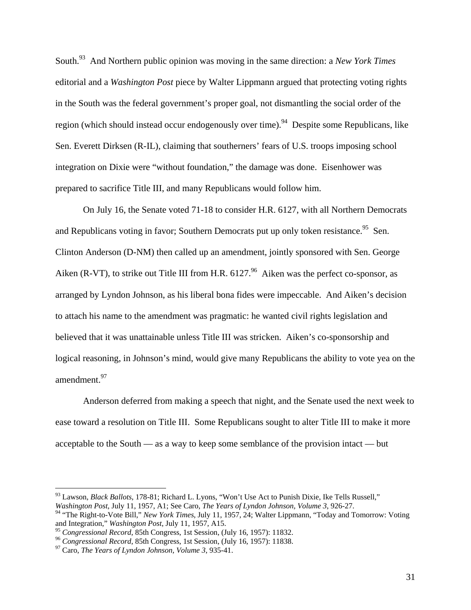South.93 And Northern public opinion was moving in the same direction: a *New York Times* editorial and a *Washington Post* piece by Walter Lippmann argued that protecting voting rights in the South was the federal government's proper goal, not dismantling the social order of the region (which should instead occur endogenously over time).<sup>94</sup> Despite some Republicans, like Sen. Everett Dirksen (R-IL), claiming that southerners' fears of U.S. troops imposing school integration on Dixie were "without foundation," the damage was done. Eisenhower was prepared to sacrifice Title III, and many Republicans would follow him.

 On July 16, the Senate voted 71-18 to consider H.R. 6127, with all Northern Democrats and Republicans voting in favor; Southern Democrats put up only token resistance.<sup>95</sup> Sen. Clinton Anderson (D-NM) then called up an amendment, jointly sponsored with Sen. George Aiken (R-VT), to strike out Title III from H.R.  $6127<sup>96</sup>$  Aiken was the perfect co-sponsor, as arranged by Lyndon Johnson, as his liberal bona fides were impeccable. And Aiken's decision to attach his name to the amendment was pragmatic: he wanted civil rights legislation and believed that it was unattainable unless Title III was stricken. Aiken's co-sponsorship and logical reasoning, in Johnson's mind, would give many Republicans the ability to vote yea on the amendment.<sup>97</sup>

Anderson deferred from making a speech that night, and the Senate used the next week to ease toward a resolution on Title III. Some Republicans sought to alter Title III to make it more acceptable to the South — as a way to keep some semblance of the provision intact — but

<sup>93</sup> Lawson, *Black Ballots*, 178-81; Richard L. Lyons, "Won't Use Act to Punish Dixie, Ike Tells Russell," *Washington Post*, July 11, 1957, A1; See Caro, *The Years of Lyndon Johnson, Volume 3*, 926-27.

<sup>94 &</sup>quot;The Right-to-Vote Bill," *New York Times*, July 11, 1957, 24; Walter Lippmann, "Today and Tomorrow: Voting and Integration," *Washington Post*, July 11, 1957, A15.<br><sup>95</sup> Congressional Record, 85th Congress, 1st Session, (July 16, 1957): 11832.

<sup>&</sup>lt;sup>96</sup> Congressional Record, 85th Congress, 1st Session, (July 16, 1957): 11838.<br><sup>97</sup> Caro, *The Years of Lyndon Johnson, Volume 3*, 935-41.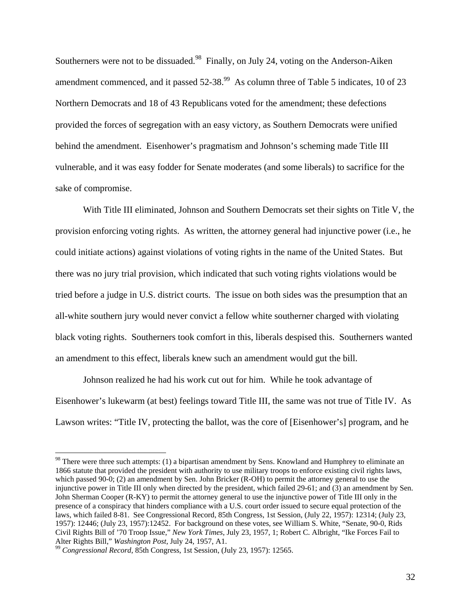Southerners were not to be dissuaded.<sup>98</sup> Finally, on July 24, voting on the Anderson-Aiken amendment commenced, and it passed  $52-38$ .<sup>99</sup> As column three of Table 5 indicates, 10 of 23 Northern Democrats and 18 of 43 Republicans voted for the amendment; these defections provided the forces of segregation with an easy victory, as Southern Democrats were unified behind the amendment. Eisenhower's pragmatism and Johnson's scheming made Title III vulnerable, and it was easy fodder for Senate moderates (and some liberals) to sacrifice for the sake of compromise.

With Title III eliminated, Johnson and Southern Democrats set their sights on Title V, the provision enforcing voting rights. As written, the attorney general had injunctive power (i.e., he could initiate actions) against violations of voting rights in the name of the United States. But there was no jury trial provision, which indicated that such voting rights violations would be tried before a judge in U.S. district courts. The issue on both sides was the presumption that an all-white southern jury would never convict a fellow white southerner charged with violating black voting rights. Southerners took comfort in this, liberals despised this. Southerners wanted an amendment to this effect, liberals knew such an amendment would gut the bill.

 Johnson realized he had his work cut out for him. While he took advantage of Eisenhower's lukewarm (at best) feelings toward Title III, the same was not true of Title IV. As Lawson writes: "Title IV, protecting the ballot, was the core of [Eisenhower's] program, and he

<sup>&</sup>lt;sup>98</sup> There were three such attempts: (1) a bipartisan amendment by Sens. Knowland and Humphrey to eliminate an 1866 statute that provided the president with authority to use military troops to enforce existing civil rights laws, which passed 90-0; (2) an amendment by Sen. John Bricker (R-OH) to permit the attorney general to use the injunctive power in Title III only when directed by the president, which failed 29-61; and (3) an amendment by Sen. John Sherman Cooper (R-KY) to permit the attorney general to use the injunctive power of Title III only in the presence of a conspiracy that hinders compliance with a U.S. court order issued to secure equal protection of the laws, which failed 8-81. See Congressional Record, 85th Congress, 1st Session, (July 22, 1957): 12314; (July 23, 1957): 12446; (July 23, 1957):12452. For background on these votes, see William S. White, "Senate, 90-0, Rids Civil Rights Bill of '70 Troop Issue," *New York Times*, July 23, 1957, 1; Robert C. Albright, "Ike Forces Fail to Alter Rights Bill," *Washington Post*, July 24, 1957, A1.<br><sup>99</sup> *Congressional Record*, 85th Congress, 1st Session, (July 23, 1957): 12565.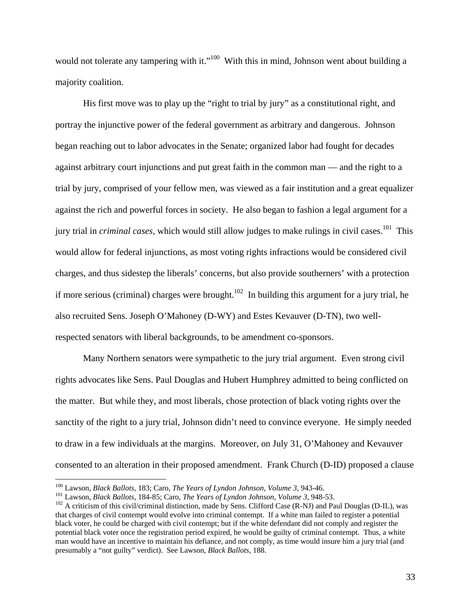would not tolerate any tampering with it."<sup>100</sup> With this in mind, Johnson went about building a majority coalition.

 His first move was to play up the "right to trial by jury" as a constitutional right, and portray the injunctive power of the federal government as arbitrary and dangerous. Johnson began reaching out to labor advocates in the Senate; organized labor had fought for decades against arbitrary court injunctions and put great faith in the common man — and the right to a trial by jury, comprised of your fellow men, was viewed as a fair institution and a great equalizer against the rich and powerful forces in society. He also began to fashion a legal argument for a jury trial in *criminal cases*, which would still allow judges to make rulings in civil cases.<sup>101</sup> This would allow for federal injunctions, as most voting rights infractions would be considered civil charges, and thus sidestep the liberals' concerns, but also provide southerners' with a protection if more serious (criminal) charges were brought.<sup>102</sup> In building this argument for a jury trial, he also recruited Sens. Joseph O'Mahoney (D-WY) and Estes Kevauver (D-TN), two wellrespected senators with liberal backgrounds, to be amendment co-sponsors.

 Many Northern senators were sympathetic to the jury trial argument. Even strong civil rights advocates like Sens. Paul Douglas and Hubert Humphrey admitted to being conflicted on the matter. But while they, and most liberals, chose protection of black voting rights over the sanctity of the right to a jury trial, Johnson didn't need to convince everyone. He simply needed to draw in a few individuals at the margins. Moreover, on July 31, O'Mahoney and Kevauver consented to an alteration in their proposed amendment. Frank Church (D-ID) proposed a clause

<sup>&</sup>lt;sup>100</sup> Lawson, *Black Ballots*, 183; Caro, *The Years of Lyndon Johnson, Volume 3*, 943-46.<br><sup>101</sup> Lawson, *Black Ballots*, 184-85; Caro, *The Years of Lyndon Johnson, Volume 3*, 948-53.<br><sup>102</sup> A criticism of this civil/crim that charges of civil contempt would evolve into criminal contempt. If a white man failed to register a potential black voter, he could be charged with civil contempt; but if the white defendant did not comply and register the potential black voter once the registration period expired, he would be guilty of criminal contempt. Thus, a white man would have an incentive to maintain his defiance, and not comply, as time would insure him a jury trial (and presumably a "not guilty" verdict). See Lawson, *Black Ballots*, 188.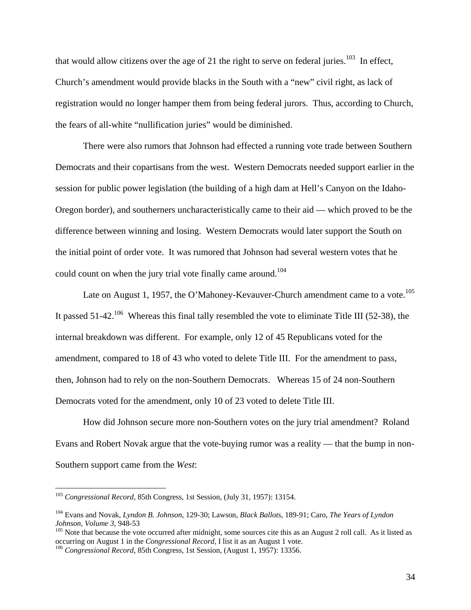that would allow citizens over the age of 21 the right to serve on federal juries.<sup>103</sup> In effect, Church's amendment would provide blacks in the South with a "new" civil right, as lack of registration would no longer hamper them from being federal jurors. Thus, according to Church, the fears of all-white "nullification juries" would be diminished.

 There were also rumors that Johnson had effected a running vote trade between Southern Democrats and their copartisans from the west. Western Democrats needed support earlier in the session for public power legislation (the building of a high dam at Hell's Canyon on the Idaho-Oregon border), and southerners uncharacteristically came to their aid — which proved to be the difference between winning and losing. Western Democrats would later support the South on the initial point of order vote. It was rumored that Johnson had several western votes that he could count on when the jury trial vote finally came around.<sup>104</sup>

Late on August 1, 1957, the O'Mahoney-Kevauver-Church amendment came to a vote.<sup>105</sup> It passed  $51-42$ <sup>106</sup> Whereas this final tally resembled the vote to eliminate Title III (52-38), the internal breakdown was different. For example, only 12 of 45 Republicans voted for the amendment, compared to 18 of 43 who voted to delete Title III. For the amendment to pass, then, Johnson had to rely on the non-Southern Democrats. Whereas 15 of 24 non-Southern Democrats voted for the amendment, only 10 of 23 voted to delete Title III.

How did Johnson secure more non-Southern votes on the jury trial amendment? Roland Evans and Robert Novak argue that the vote-buying rumor was a reality — that the bump in non-Southern support came from the *West*:

<sup>103</sup> *Congressional Record*, 85th Congress, 1st Session, (July 31, 1957): 13154.

<sup>104</sup> Evans and Novak*, Lyndon B. Johnson*, 129-30; Lawson, *Black Ballots*, 189-91; Caro, *The Years of Lyndon Johnson, Volume 3, 948-53*<br><sup>105</sup> Note that because the vote occurred after midnight, some sources cite this as an August 2 roll call. As it listed as

occurring on August 1 in the *Congressional Record*, I list it as an August 1 vote. 106 *Congressional Record*, 85th Congress, 1st Session, (August 1, 1957): 13356.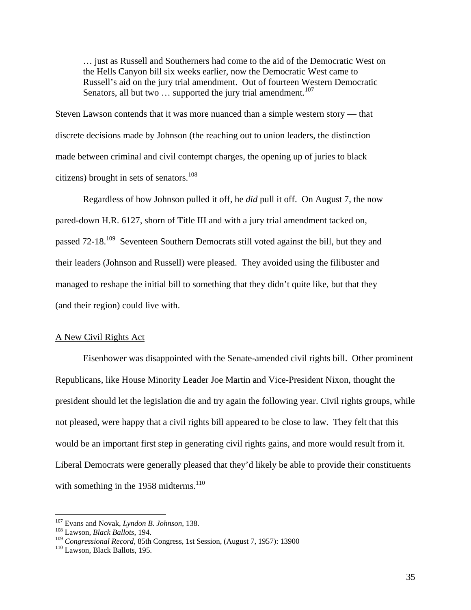… just as Russell and Southerners had come to the aid of the Democratic West on the Hells Canyon bill six weeks earlier, now the Democratic West came to Russell's aid on the jury trial amendment. Out of fourteen Western Democratic Senators, all but two  $\ldots$  supported the jury trial amendment.<sup>107</sup>

Steven Lawson contends that it was more nuanced than a simple western story — that discrete decisions made by Johnson (the reaching out to union leaders, the distinction made between criminal and civil contempt charges, the opening up of juries to black citizens) brought in sets of senators. $108$ 

 Regardless of how Johnson pulled it off, he *did* pull it off. On August 7, the now pared-down H.R. 6127, shorn of Title III and with a jury trial amendment tacked on, passed 72-18<sup>109</sup> Seventeen Southern Democrats still voted against the bill, but they and their leaders (Johnson and Russell) were pleased. They avoided using the filibuster and managed to reshape the initial bill to something that they didn't quite like, but that they (and their region) could live with.

#### A New Civil Rights Act

 Eisenhower was disappointed with the Senate-amended civil rights bill. Other prominent Republicans, like House Minority Leader Joe Martin and Vice-President Nixon, thought the president should let the legislation die and try again the following year. Civil rights groups, while not pleased, were happy that a civil rights bill appeared to be close to law. They felt that this would be an important first step in generating civil rights gains, and more would result from it. Liberal Democrats were generally pleased that they'd likely be able to provide their constituents with something in the  $1958$  midterms.<sup>110</sup>

<sup>107</sup> Evans and Novak, *Lyndon B. Johnson*, 138. 108 Lawson, *Black Ballots*, 194.

<sup>&</sup>lt;sup>109</sup> *Congressional Record*, 85th Congress, 1st Session, (August 7, 1957): 13900<br><sup>110</sup> Lawson, Black Ballots, 195.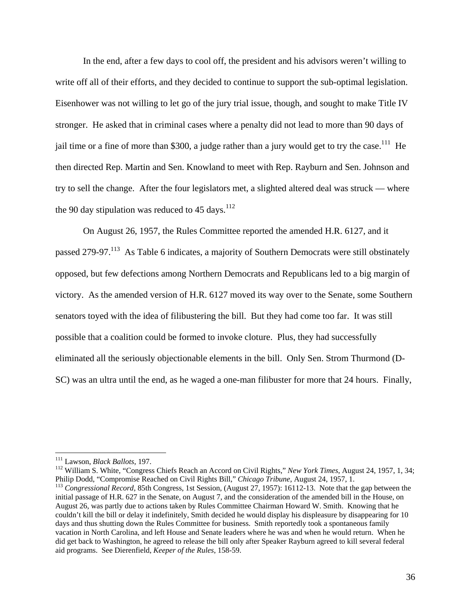In the end, after a few days to cool off, the president and his advisors weren't willing to write off all of their efforts, and they decided to continue to support the sub-optimal legislation. Eisenhower was not willing to let go of the jury trial issue, though, and sought to make Title IV stronger. He asked that in criminal cases where a penalty did not lead to more than 90 days of jail time or a fine of more than \$300, a judge rather than a jury would get to try the case.<sup>111</sup> He then directed Rep. Martin and Sen. Knowland to meet with Rep. Rayburn and Sen. Johnson and try to sell the change. After the four legislators met, a slighted altered deal was struck — where the 90 day stipulation was reduced to 45 days.<sup>112</sup>

 On August 26, 1957, the Rules Committee reported the amended H.R. 6127, and it passed 279-97.<sup>113</sup> As Table 6 indicates, a majority of Southern Democrats were still obstinately opposed, but few defections among Northern Democrats and Republicans led to a big margin of victory. As the amended version of H.R. 6127 moved its way over to the Senate, some Southern senators toyed with the idea of filibustering the bill. But they had come too far. It was still possible that a coalition could be formed to invoke cloture. Plus, they had successfully eliminated all the seriously objectionable elements in the bill. Only Sen. Strom Thurmond (D-SC) was an ultra until the end, as he waged a one-man filibuster for more that 24 hours. Finally,

 $\overline{a}$ 

<sup>111</sup> Lawson, *Black Ballots*, 197.<br><sup>112</sup> William S. White, "Congress Chiefs Reach an Accord on Civil Rights," *New York Times*, August 24, 1957, 1, 34;<br>Philip Dodd, "Compromise Reached on Civil Rights Bill," *Chicago Trib* 

<sup>&</sup>lt;sup>113</sup> Congressional Record, 85th Congress, 1st Session, (August 27, 1957): 16112-13. Note that the gap between the initial passage of H.R. 627 in the Senate, on August 7, and the consideration of the amended bill in the House, on August 26, was partly due to actions taken by Rules Committee Chairman Howard W. Smith. Knowing that he couldn't kill the bill or delay it indefinitely, Smith decided he would display his displeasure by disappearing for 10 days and thus shutting down the Rules Committee for business. Smith reportedly took a spontaneous family vacation in North Carolina, and left House and Senate leaders where he was and when he would return. When he did get back to Washington, he agreed to release the bill only after Speaker Rayburn agreed to kill several federal aid programs. See Dierenfield, *Keeper of the Rules*, 158-59.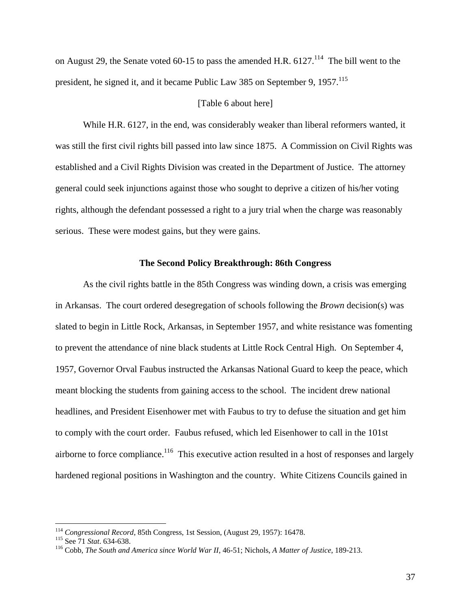on August 29, the Senate voted 60-15 to pass the amended H.R.  $6127$ <sup> $114$ </sup>. The bill went to the president, he signed it, and it became Public Law 385 on September 9, 1957.<sup>115</sup>

### [Table 6 about here]

 While H.R. 6127, in the end, was considerably weaker than liberal reformers wanted, it was still the first civil rights bill passed into law since 1875. A Commission on Civil Rights was established and a Civil Rights Division was created in the Department of Justice. The attorney general could seek injunctions against those who sought to deprive a citizen of his/her voting rights, although the defendant possessed a right to a jury trial when the charge was reasonably serious. These were modest gains, but they were gains.

#### **The Second Policy Breakthrough: 86th Congress**

As the civil rights battle in the 85th Congress was winding down, a crisis was emerging in Arkansas. The court ordered desegregation of schools following the *Brown* decision(s) was slated to begin in Little Rock, Arkansas, in September 1957, and white resistance was fomenting to prevent the attendance of nine black students at Little Rock Central High. On September 4, 1957, Governor Orval Faubus instructed the Arkansas National Guard to keep the peace, which meant blocking the students from gaining access to the school. The incident drew national headlines, and President Eisenhower met with Faubus to try to defuse the situation and get him to comply with the court order. Faubus refused, which led Eisenhower to call in the 101st airborne to force compliance.<sup>116</sup> This executive action resulted in a host of responses and largely hardened regional positions in Washington and the country. White Citizens Councils gained in

<sup>&</sup>lt;sup>114</sup> Congressional Record, 85th Congress, 1st Session, (August 29, 1957): 16478.<br><sup>115</sup> See 71 *Stat.* 634-638.<br><sup>116</sup> Cobb, *The South and America since World War II*, 46-51; Nichols, *A Matter of Justice*, 189-213.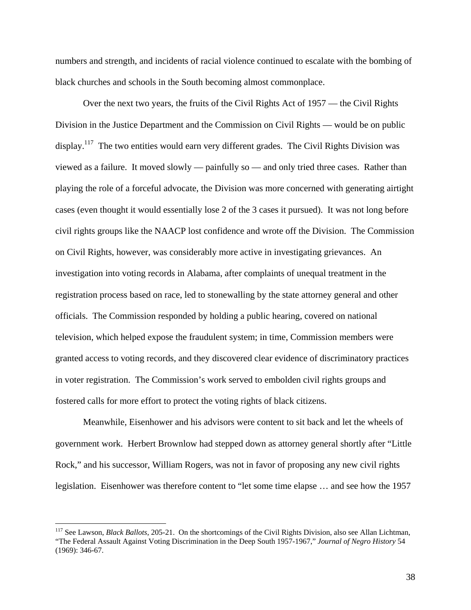numbers and strength, and incidents of racial violence continued to escalate with the bombing of black churches and schools in the South becoming almost commonplace.

 Over the next two years, the fruits of the Civil Rights Act of 1957 — the Civil Rights Division in the Justice Department and the Commission on Civil Rights — would be on public display.<sup>117</sup> The two entities would earn very different grades. The Civil Rights Division was viewed as a failure. It moved slowly — painfully so — and only tried three cases. Rather than playing the role of a forceful advocate, the Division was more concerned with generating airtight cases (even thought it would essentially lose 2 of the 3 cases it pursued). It was not long before civil rights groups like the NAACP lost confidence and wrote off the Division. The Commission on Civil Rights, however, was considerably more active in investigating grievances. An investigation into voting records in Alabama, after complaints of unequal treatment in the registration process based on race, led to stonewalling by the state attorney general and other officials. The Commission responded by holding a public hearing, covered on national television, which helped expose the fraudulent system; in time, Commission members were granted access to voting records, and they discovered clear evidence of discriminatory practices in voter registration. The Commission's work served to embolden civil rights groups and fostered calls for more effort to protect the voting rights of black citizens.

 Meanwhile, Eisenhower and his advisors were content to sit back and let the wheels of government work. Herbert Brownlow had stepped down as attorney general shortly after "Little Rock," and his successor, William Rogers, was not in favor of proposing any new civil rights legislation. Eisenhower was therefore content to "let some time elapse … and see how the 1957

<sup>117</sup> See Lawson, *Black Ballots*, 205-21. On the shortcomings of the Civil Rights Division, also see Allan Lichtman, "The Federal Assault Against Voting Discrimination in the Deep South 1957-1967," *Journal of Negro History* 54 (1969): 346-67.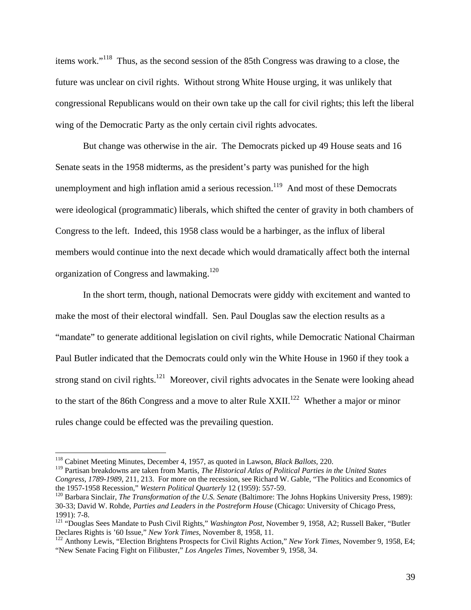items work."118 Thus, as the second session of the 85th Congress was drawing to a close, the future was unclear on civil rights. Without strong White House urging, it was unlikely that congressional Republicans would on their own take up the call for civil rights; this left the liberal wing of the Democratic Party as the only certain civil rights advocates.

 But change was otherwise in the air. The Democrats picked up 49 House seats and 16 Senate seats in the 1958 midterms, as the president's party was punished for the high unemployment and high inflation amid a serious recession.<sup>119</sup> And most of these Democrats were ideological (programmatic) liberals, which shifted the center of gravity in both chambers of Congress to the left. Indeed, this 1958 class would be a harbinger, as the influx of liberal members would continue into the next decade which would dramatically affect both the internal organization of Congress and lawmaking.<sup>120</sup>

 In the short term, though, national Democrats were giddy with excitement and wanted to make the most of their electoral windfall. Sen. Paul Douglas saw the election results as a "mandate" to generate additional legislation on civil rights, while Democratic National Chairman Paul Butler indicated that the Democrats could only win the White House in 1960 if they took a strong stand on civil rights.<sup>121</sup> Moreover, civil rights advocates in the Senate were looking ahead to the start of the 86th Congress and a move to alter Rule  $XXII$ <sup>122</sup>. Whether a major or minor rules change could be effected was the prevailing question.

<sup>118</sup> Cabinet Meeting Minutes, December 4, 1957, as quoted in Lawson, *Black Ballots*, 220.

<sup>119</sup> Partisan breakdowns are taken from Martis, *The Historical Atlas of Political Parties in the United States Congress, 1789-1989*, 211, 213. For more on the recession, see Richard W. Gable, "The Politics and Economics of the 1957-1958 Recession," *Western Political Quarterly* 12 (1959): 557-59.<br><sup>120</sup> Barbara Sinclair, *The Transformation of the U.S. Senate* (Baltimore: The Johns Hopkins University Press, 1989):

<sup>30-33;</sup> David W. Rohde, *Parties and Leaders in the Postreform House* (Chicago: University of Chicago Press, 1991): 7-8.

<sup>&</sup>lt;sup>121</sup> "Douglas Sees Mandate to Push Civil Rights," *Washington Post*, November 9, 1958, A2; Russell Baker, "Butler Declares Rights is '60 Issue," *New York Times*, November 8, 1958, 11.

<sup>&</sup>lt;sup>122</sup> Anthony Lewis, "Election Brightens Prospects for Civil Rights Action," *New York Times*, November 9, 1958, E4; "New Senate Facing Fight on Filibuster," *Los Angeles Times*, November 9, 1958, 34.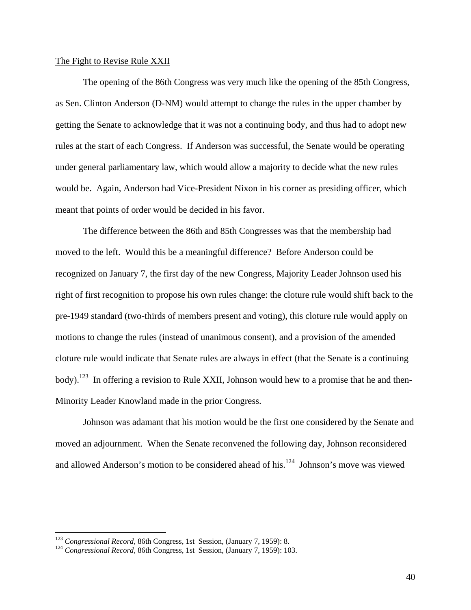### The Fight to Revise Rule XXII

 The opening of the 86th Congress was very much like the opening of the 85th Congress, as Sen. Clinton Anderson (D-NM) would attempt to change the rules in the upper chamber by getting the Senate to acknowledge that it was not a continuing body, and thus had to adopt new rules at the start of each Congress. If Anderson was successful, the Senate would be operating under general parliamentary law, which would allow a majority to decide what the new rules would be. Again, Anderson had Vice-President Nixon in his corner as presiding officer, which meant that points of order would be decided in his favor.

 The difference between the 86th and 85th Congresses was that the membership had moved to the left. Would this be a meaningful difference? Before Anderson could be recognized on January 7, the first day of the new Congress, Majority Leader Johnson used his right of first recognition to propose his own rules change: the cloture rule would shift back to the pre-1949 standard (two-thirds of members present and voting), this cloture rule would apply on motions to change the rules (instead of unanimous consent), and a provision of the amended cloture rule would indicate that Senate rules are always in effect (that the Senate is a continuing body).<sup>123</sup> In offering a revision to Rule XXII, Johnson would hew to a promise that he and then-Minority Leader Knowland made in the prior Congress.

 Johnson was adamant that his motion would be the first one considered by the Senate and moved an adjournment. When the Senate reconvened the following day, Johnson reconsidered and allowed Anderson's motion to be considered ahead of his.<sup>124</sup> Johnson's move was viewed

<sup>&</sup>lt;sup>123</sup> *Congressional Record*, 86th Congress, 1st Session, (January 7, 1959): 8.<br><sup>124</sup> *Congressional Record*, 86th Congress, 1st Session, (January 7, 1959): 103.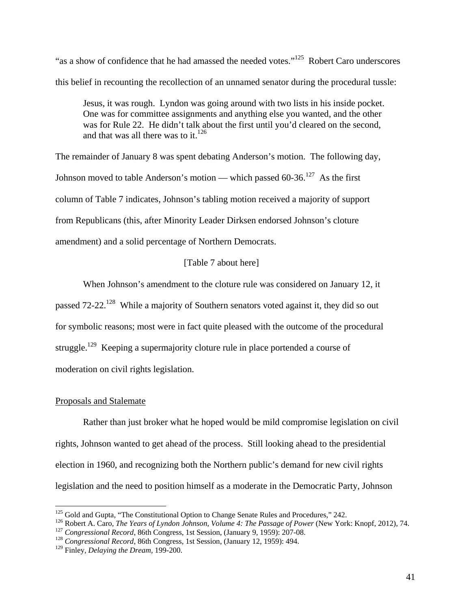"as a show of confidence that he had amassed the needed votes."<sup>125</sup> Robert Caro underscores this belief in recounting the recollection of an unnamed senator during the procedural tussle:

Jesus, it was rough. Lyndon was going around with two lists in his inside pocket. One was for committee assignments and anything else you wanted, and the other was for Rule 22. He didn't talk about the first until you'd cleared on the second, and that was all there was to it.<sup>126</sup>

The remainder of January 8 was spent debating Anderson's motion. The following day, Johnson moved to table Anderson's motion — which passed  $60-36$ .<sup>127</sup> As the first column of Table 7 indicates, Johnson's tabling motion received a majority of support from Republicans (this, after Minority Leader Dirksen endorsed Johnson's cloture amendment) and a solid percentage of Northern Democrats.

# [Table 7 about here]

When Johnson's amendment to the cloture rule was considered on January 12, it passed 72-22.<sup>128</sup> While a majority of Southern senators voted against it, they did so out for symbolic reasons; most were in fact quite pleased with the outcome of the procedural struggle.<sup>129</sup> Keeping a supermajority cloture rule in place portended a course of moderation on civil rights legislation.

### Proposals and Stalemate

 Rather than just broker what he hoped would be mild compromise legislation on civil rights, Johnson wanted to get ahead of the process. Still looking ahead to the presidential election in 1960, and recognizing both the Northern public's demand for new civil rights legislation and the need to position himself as a moderate in the Democratic Party, Johnson

<sup>&</sup>lt;sup>125</sup> Gold and Gupta, "The Constitutional Option to Change Senate Rules and Procedures," 242.

<sup>&</sup>lt;sup>126</sup> Robert A. Caro, *The Years of Lyndon Johnson, Volume 4: The Passage of Power* (New York: Knopf, 2012), 74.<br><sup>127</sup> Congressional Record, 86th Congress, 1st Session, (January 9, 1959): 207-08.<br><sup>128</sup> Congressional Recor

<sup>129</sup> Finley, *Delaying the Dream*, 199-200.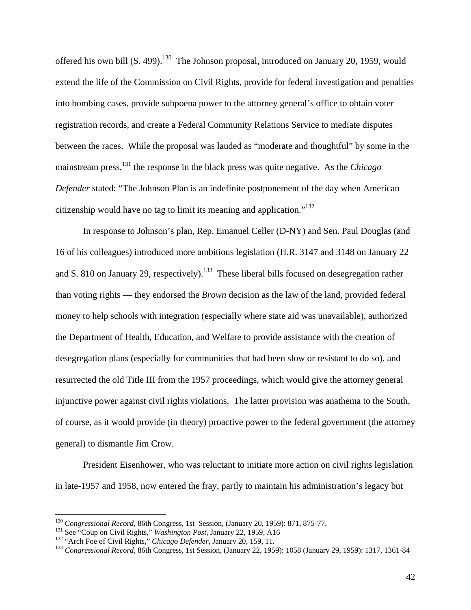offered his own bill  $(S. 499)$ .<sup>130</sup> The Johnson proposal, introduced on January 20, 1959, would extend the life of the Commission on Civil Rights, provide for federal investigation and penalties into bombing cases, provide subpoena power to the attorney general's office to obtain voter registration records, and create a Federal Community Relations Service to mediate disputes between the races. While the proposal was lauded as "moderate and thoughtful" by some in the mainstream press,131 the response in the black press was quite negative. As the *Chicago Defender* stated: "The Johnson Plan is an indefinite postponement of the day when American citizenship would have no tag to limit its meaning and application."<sup>132</sup>

In response to Johnson's plan, Rep. Emanuel Celler (D-NY) and Sen. Paul Douglas (and 16 of his colleagues) introduced more ambitious legislation (H.R. 3147 and 3148 on January 22 and S. 810 on January 29, respectively).<sup>133</sup> These liberal bills focused on desegregation rather than voting rights — they endorsed the *Brown* decision as the law of the land, provided federal money to help schools with integration (especially where state aid was unavailable), authorized the Department of Health, Education, and Welfare to provide assistance with the creation of desegregation plans (especially for communities that had been slow or resistant to do so), and resurrected the old Title III from the 1957 proceedings, which would give the attorney general injunctive power against civil rights violations. The latter provision was anathema to the South, of course, as it would provide (in theory) proactive power to the federal government (the attorney general) to dismantle Jim Crow.

President Eisenhower, who was reluctant to initiate more action on civil rights legislation in late-1957 and 1958, now entered the fray, partly to maintain his administration's legacy but

<sup>&</sup>lt;sup>130</sup> Congressional Record, 86th Congress, 1st Session, (January 20, 1959): 871, 875-77.<br><sup>131</sup> See "Coup on Civil Rights," *Washington Post*, January 22, 1959, A16<br><sup>132</sup> "Arch Foe of Civil Rights," *Chicago Defender*, Jan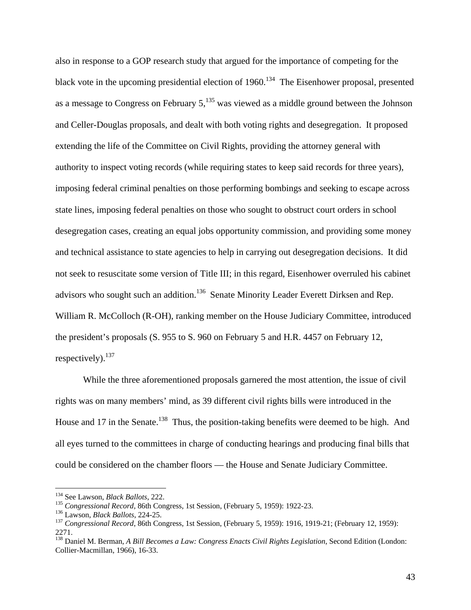also in response to a GOP research study that argued for the importance of competing for the black vote in the upcoming presidential election of  $1960$ .<sup>134</sup> The Eisenhower proposal, presented as a message to Congress on February  $5$ ,  $^{135}$  was viewed as a middle ground between the Johnson and Celler-Douglas proposals, and dealt with both voting rights and desegregation. It proposed extending the life of the Committee on Civil Rights, providing the attorney general with authority to inspect voting records (while requiring states to keep said records for three years), imposing federal criminal penalties on those performing bombings and seeking to escape across state lines, imposing federal penalties on those who sought to obstruct court orders in school desegregation cases, creating an equal jobs opportunity commission, and providing some money and technical assistance to state agencies to help in carrying out desegregation decisions. It did not seek to resuscitate some version of Title III; in this regard, Eisenhower overruled his cabinet advisors who sought such an addition.<sup>136</sup> Senate Minority Leader Everett Dirksen and Rep. William R. McColloch (R-OH), ranking member on the House Judiciary Committee, introduced the president's proposals (S. 955 to S. 960 on February 5 and H.R. 4457 on February 12, respectively). $137$ 

While the three aforementioned proposals garnered the most attention, the issue of civil rights was on many members' mind, as 39 different civil rights bills were introduced in the House and 17 in the Senate.<sup>138</sup> Thus, the position-taking benefits were deemed to be high. And all eyes turned to the committees in charge of conducting hearings and producing final bills that could be considered on the chamber floors — the House and Senate Judiciary Committee.

<sup>&</sup>lt;sup>134</sup> See Lawson, *Black Ballots*, 222.

<sup>&</sup>lt;sup>135</sup> Congressional Record, 86th Congress, 1st Session, (February 5, 1959): 1922-23.<br><sup>136</sup> Lawson, *Black Ballots*, 224-25.<br><sup>137</sup> Congressional Record, 86th Congress, 1st Session, (February 5, 1959): 1916, 1919-21; (Febru 2271.

<sup>138</sup> Daniel M. Berman, *A Bill Becomes a Law: Congress Enacts Civil Rights Legislation*, Second Edition (London: Collier-Macmillan, 1966), 16-33.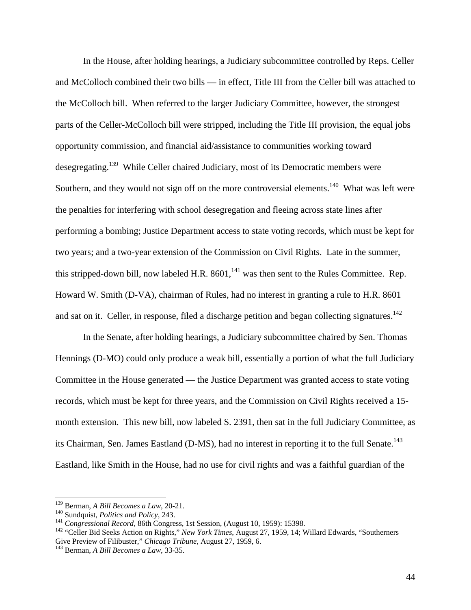In the House, after holding hearings, a Judiciary subcommittee controlled by Reps. Celler and McColloch combined their two bills — in effect, Title III from the Celler bill was attached to the McColloch bill. When referred to the larger Judiciary Committee, however, the strongest parts of the Celler-McColloch bill were stripped, including the Title III provision, the equal jobs opportunity commission, and financial aid/assistance to communities working toward desegregating.139 While Celler chaired Judiciary, most of its Democratic members were Southern, and they would not sign off on the more controversial elements.<sup>140</sup> What was left were the penalties for interfering with school desegregation and fleeing across state lines after performing a bombing; Justice Department access to state voting records, which must be kept for two years; and a two-year extension of the Commission on Civil Rights. Late in the summer, this stripped-down bill, now labeled H.R.  $8601$ ,<sup>141</sup> was then sent to the Rules Committee. Rep. Howard W. Smith (D-VA), chairman of Rules, had no interest in granting a rule to H.R. 8601 and sat on it. Celler, in response, filed a discharge petition and began collecting signatures.<sup>142</sup>

In the Senate, after holding hearings, a Judiciary subcommittee chaired by Sen. Thomas Hennings (D-MO) could only produce a weak bill, essentially a portion of what the full Judiciary Committee in the House generated — the Justice Department was granted access to state voting records, which must be kept for three years, and the Commission on Civil Rights received a 15 month extension. This new bill, now labeled S. 2391, then sat in the full Judiciary Committee, as its Chairman, Sen. James Eastland (D-MS), had no interest in reporting it to the full Senate.<sup>143</sup> Eastland, like Smith in the House, had no use for civil rights and was a faithful guardian of the

<sup>&</sup>lt;sup>139</sup> Berman, A Bill Becomes a Law, 20-21.

<sup>&</sup>lt;sup>140</sup> Sundquist, *Politics and Policy*, 243.<br><sup>141</sup> Congressional Record, 86th Congress, 1st Session, (August 10, 1959): 15398.<br><sup>142</sup> "Celler Bid Seeks Action on Rights," *New York Times*, August 27, 1959, 14; Willard Edwar Give Preview of Filibuster," *Chicago Tribune*, August 27, 1959, 6. 143 Berman, *A Bill Becomes a Law*, 33-35.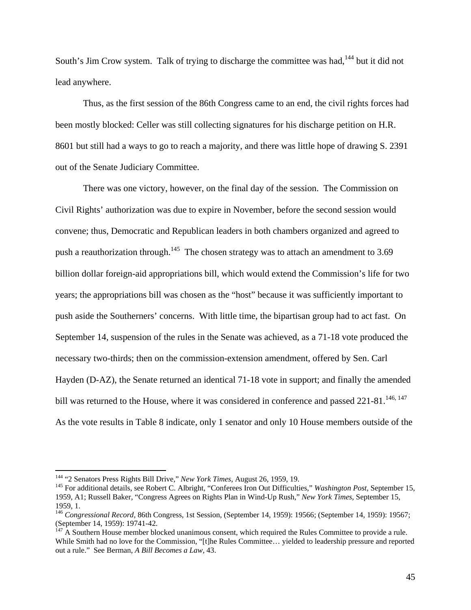South's Jim Crow system. Talk of trying to discharge the committee was had,<sup>144</sup> but it did not lead anywhere.

Thus, as the first session of the 86th Congress came to an end, the civil rights forces had been mostly blocked: Celler was still collecting signatures for his discharge petition on H.R. 8601 but still had a ways to go to reach a majority, and there was little hope of drawing S. 2391 out of the Senate Judiciary Committee.

There was one victory, however, on the final day of the session. The Commission on Civil Rights' authorization was due to expire in November, before the second session would convene; thus, Democratic and Republican leaders in both chambers organized and agreed to push a reauthorization through.<sup>145</sup> The chosen strategy was to attach an amendment to 3.69 billion dollar foreign-aid appropriations bill, which would extend the Commission's life for two years; the appropriations bill was chosen as the "host" because it was sufficiently important to push aside the Southerners' concerns. With little time, the bipartisan group had to act fast. On September 14, suspension of the rules in the Senate was achieved, as a 71-18 vote produced the necessary two-thirds; then on the commission-extension amendment, offered by Sen. Carl Hayden (D-AZ), the Senate returned an identical 71-18 vote in support; and finally the amended bill was returned to the House, where it was considered in conference and passed 221-81.<sup>146, 147</sup> As the vote results in Table 8 indicate, only 1 senator and only 10 House members outside of the

<sup>&</sup>lt;sup>144</sup> "2 Senators Press Rights Bill Drive," *New York Times*, August 26, 1959, 19.<br><sup>145</sup> For additional details, see Robert C. Albright, "Conferees Iron Out Difficulties," *Washington Post*, September 15, 1959, A1; Russell Baker, "Congress Agrees on Rights Plan in Wind-Up Rush," *New York Times*, September 15, 1959, 1.

<sup>146</sup> *Congressional Record*, 86th Congress, 1st Session, (September 14, 1959): 19566; (September 14, 1959): 19567; (September 14, 1959): 19741-42.

 $147$  A Southern House member blocked unanimous consent, which required the Rules Committee to provide a rule. While Smith had no love for the Commission, "[t]he Rules Committee… yielded to leadership pressure and reported out a rule." See Berman, *A Bill Becomes a Law*, 43.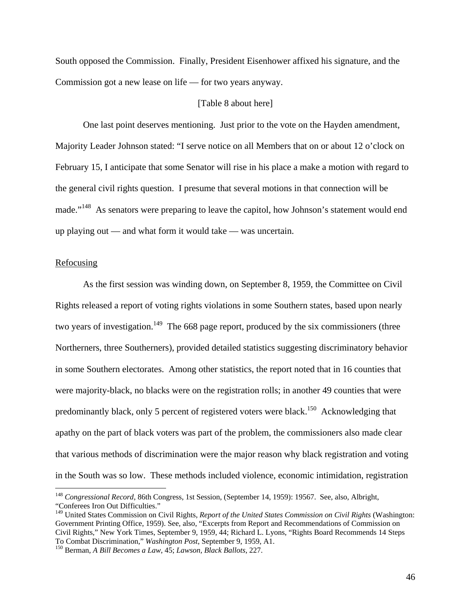South opposed the Commission. Finally, President Eisenhower affixed his signature, and the Commission got a new lease on life — for two years anyway.

### [Table 8 about here]

 One last point deserves mentioning. Just prior to the vote on the Hayden amendment, Majority Leader Johnson stated: "I serve notice on all Members that on or about 12 o'clock on February 15, I anticipate that some Senator will rise in his place a make a motion with regard to the general civil rights question. I presume that several motions in that connection will be made."<sup>148</sup> As senators were preparing to leave the capitol, how Johnson's statement would end up playing out — and what form it would take — was uncertain.

### Refocusing

<u>.</u>

 As the first session was winding down, on September 8, 1959, the Committee on Civil Rights released a report of voting rights violations in some Southern states, based upon nearly two years of investigation.<sup>149</sup> The 668 page report, produced by the six commissioners (three Northerners, three Southerners), provided detailed statistics suggesting discriminatory behavior in some Southern electorates. Among other statistics, the report noted that in 16 counties that were majority-black, no blacks were on the registration rolls; in another 49 counties that were predominantly black, only 5 percent of registered voters were black.150 Acknowledging that apathy on the part of black voters was part of the problem, the commissioners also made clear that various methods of discrimination were the major reason why black registration and voting in the South was so low. These methods included violence, economic intimidation, registration

<sup>148</sup> *Congressional Record*, 86th Congress, 1st Session, (September 14, 1959): 19567. See, also, Albright, "Conferees Iron Out Difficulties."

<sup>149</sup> United States Commission on Civil Rights, *Report of the United States Commission on Civil Rights* (Washington: Government Printing Office, 1959). See, also, "Excerpts from Report and Recommendations of Commission on Civil Rights," New York Times, September 9, 1959, 44; Richard L. Lyons, "Rights Board Recommends 14 Steps To Combat Discrimination," *Washington Post*, September 9, 1959, A1. 150 Berman, *A Bill Becomes a Law*, 45; *Lawson, Black Ballots*, 227.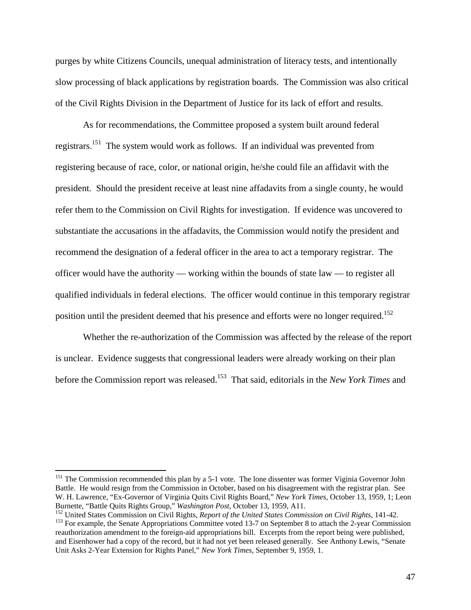purges by white Citizens Councils, unequal administration of literacy tests, and intentionally slow processing of black applications by registration boards. The Commission was also critical of the Civil Rights Division in the Department of Justice for its lack of effort and results.

 As for recommendations, the Committee proposed a system built around federal registrars.151 The system would work as follows. If an individual was prevented from registering because of race, color, or national origin, he/she could file an affidavit with the president. Should the president receive at least nine affadavits from a single county, he would refer them to the Commission on Civil Rights for investigation. If evidence was uncovered to substantiate the accusations in the affadavits, the Commission would notify the president and recommend the designation of a federal officer in the area to act a temporary registrar. The officer would have the authority — working within the bounds of state law — to register all qualified individuals in federal elections. The officer would continue in this temporary registrar position until the president deemed that his presence and efforts were no longer required.<sup>152</sup>

 Whether the re-authorization of the Commission was affected by the release of the report is unclear. Evidence suggests that congressional leaders were already working on their plan before the Commission report was released.153 That said, editorials in the *New York Times* and

<sup>&</sup>lt;sup>151</sup> The Commission recommended this plan by a 5-1 vote. The lone dissenter was former Viginia Governor John Battle. He would resign from the Commission in October, based on his disagreement with the registrar plan. See W. H. Lawrence, "Ex-Governor of Virginia Quits Civil Rights Board," *New York Times*, October 13, 1959, 1; Leon

 $^{152}$  United States Commission on Civil Rights, *Report of the United States Commission on Civil Rights*, 141-42.<br><sup>153</sup> For example, the Senate Appropriations Committee voted 13-7 on September 8 to attach the 2-year Com

reauthorization amendment to the foreign-aid appropriations bill. Excerpts from the report being were published, and Eisenhower had a copy of the record, but it had not yet been released generally. See Anthony Lewis, "Senate Unit Asks 2-Year Extension for Rights Panel," *New York Times*, September 9, 1959, 1.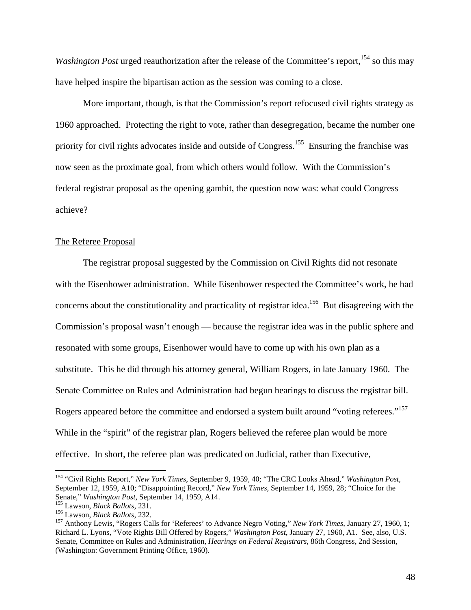*Washington Post* urged reauthorization after the release of the Committee's report,<sup>154</sup> so this may have helped inspire the bipartisan action as the session was coming to a close.

More important, though, is that the Commission's report refocused civil rights strategy as 1960 approached. Protecting the right to vote, rather than desegregation, became the number one priority for civil rights advocates inside and outside of Congress.<sup>155</sup> Ensuring the franchise was now seen as the proximate goal, from which others would follow. With the Commission's federal registrar proposal as the opening gambit, the question now was: what could Congress achieve?

# The Referee Proposal

 The registrar proposal suggested by the Commission on Civil Rights did not resonate with the Eisenhower administration. While Eisenhower respected the Committee's work, he had concerns about the constitutionality and practicality of registrar idea.<sup>156</sup> But disagreeing with the Commission's proposal wasn't enough — because the registrar idea was in the public sphere and resonated with some groups, Eisenhower would have to come up with his own plan as a substitute. This he did through his attorney general, William Rogers, in late January 1960. The Senate Committee on Rules and Administration had begun hearings to discuss the registrar bill. Rogers appeared before the committee and endorsed a system built around "voting referees."<sup>157</sup> While in the "spirit" of the registrar plan, Rogers believed the referee plan would be more effective. In short, the referee plan was predicated on Judicial, rather than Executive,

<sup>154 &</sup>quot;Civil Rights Report," *New York Times*, September 9, 1959, 40; "The CRC Looks Ahead," *Washington Post*, September 12, 1959, A10; "Disappointing Record," *New York Times*, September 14, 1959, 28; "Choice for the

<sup>&</sup>lt;sup>155</sup> Lawson, *Black Ballots*, 231.<br><sup>156</sup> Lawson, *Black Ballots*, 232.<br><sup>157</sup> Anthony Lewis, "Rogers Calls for 'Referees' to Advance Negro Voting," *New York Times*, January 27, 1960, 1; Richard L. Lyons, "Vote Rights Bill Offered by Rogers," *Washington Post*, January 27, 1960, A1. See, also, U.S. Senate, Committee on Rules and Administration, *Hearings on Federal Registrars*, 86th Congress, 2nd Session, (Washington: Government Printing Office, 1960).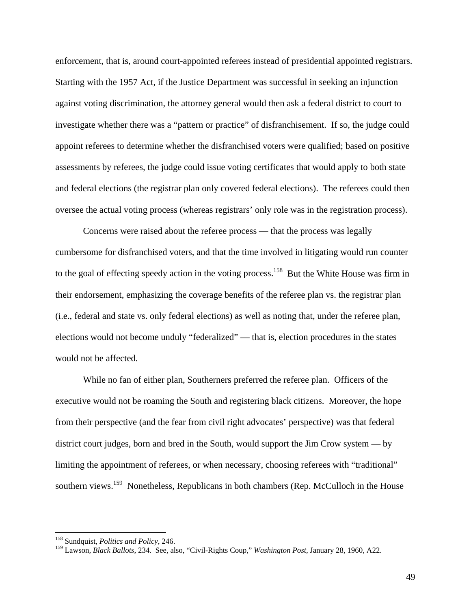enforcement, that is, around court-appointed referees instead of presidential appointed registrars. Starting with the 1957 Act, if the Justice Department was successful in seeking an injunction against voting discrimination, the attorney general would then ask a federal district to court to investigate whether there was a "pattern or practice" of disfranchisement. If so, the judge could appoint referees to determine whether the disfranchised voters were qualified; based on positive assessments by referees, the judge could issue voting certificates that would apply to both state and federal elections (the registrar plan only covered federal elections). The referees could then oversee the actual voting process (whereas registrars' only role was in the registration process).

 Concerns were raised about the referee process — that the process was legally cumbersome for disfranchised voters, and that the time involved in litigating would run counter to the goal of effecting speedy action in the voting process.<sup>158</sup> But the White House was firm in their endorsement, emphasizing the coverage benefits of the referee plan vs. the registrar plan (i.e., federal and state vs. only federal elections) as well as noting that, under the referee plan, elections would not become unduly "federalized" — that is, election procedures in the states would not be affected.

 While no fan of either plan, Southerners preferred the referee plan. Officers of the executive would not be roaming the South and registering black citizens. Moreover, the hope from their perspective (and the fear from civil right advocates' perspective) was that federal district court judges, born and bred in the South, would support the Jim Crow system — by limiting the appointment of referees, or when necessary, choosing referees with "traditional" southern views.<sup>159</sup> Nonetheless, Republicans in both chambers (Rep. McCulloch in the House

<sup>158</sup> Sundquist, *Politics and Policy*, 246.

<sup>159</sup> Lawson*, Black Ballots*, 234. See, also, "Civil-Rights Coup," *Washington Post*, January 28, 1960, A22.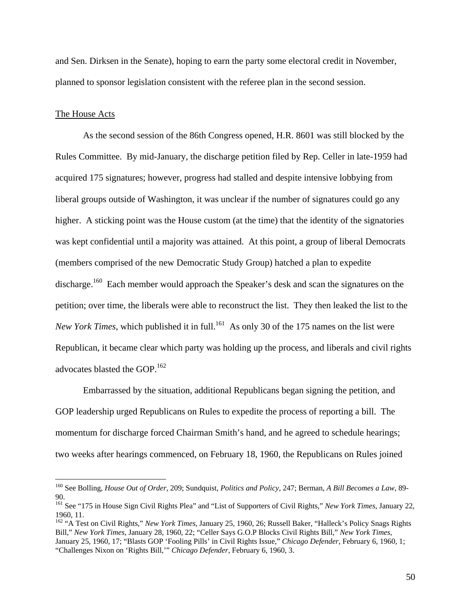and Sen. Dirksen in the Senate), hoping to earn the party some electoral credit in November, planned to sponsor legislation consistent with the referee plan in the second session.

### The House Acts

 $\overline{a}$ 

 As the second session of the 86th Congress opened, H.R. 8601 was still blocked by the Rules Committee. By mid-January, the discharge petition filed by Rep. Celler in late-1959 had acquired 175 signatures; however, progress had stalled and despite intensive lobbying from liberal groups outside of Washington, it was unclear if the number of signatures could go any higher. A sticking point was the House custom (at the time) that the identity of the signatories was kept confidential until a majority was attained. At this point, a group of liberal Democrats (members comprised of the new Democratic Study Group) hatched a plan to expedite discharge.<sup>160</sup> Each member would approach the Speaker's desk and scan the signatures on the petition; over time, the liberals were able to reconstruct the list. They then leaked the list to the *New York Times*, which published it in full.<sup>161</sup> As only 30 of the 175 names on the list were Republican, it became clear which party was holding up the process, and liberals and civil rights advocates blasted the GOP.162

Embarrassed by the situation, additional Republicans began signing the petition, and GOP leadership urged Republicans on Rules to expedite the process of reporting a bill. The momentum for discharge forced Chairman Smith's hand, and he agreed to schedule hearings; two weeks after hearings commenced, on February 18, 1960, the Republicans on Rules joined

<sup>160</sup> See Bolling, *House Out of Order*, 209; Sundquist, *Politics and Policy*, 247; Berman, *A Bill Becomes a Law*, 89- 90.

<sup>161</sup> See "175 in House Sign Civil Rights Plea" and "List of Supporters of Civil Rights," *New York Times*, January 22, 1960, 11.

<sup>162 &</sup>quot;A Test on Civil Rights," *New York Times*, January 25, 1960, 26; Russell Baker, "Halleck's Policy Snags Rights Bill," *New York Times*, January 28, 1960, 22; "Celler Says G.O.P Blocks Civil Rights Bill," *New York Times*, January 25, 1960, 17; "Blasts GOP 'Fooling Pills' in Civil Rights Issue," *Chicago Defender*, February 6, 1960, 1; "Challenges Nixon on 'Rights Bill,'" *Chicago Defender*, February 6, 1960, 3.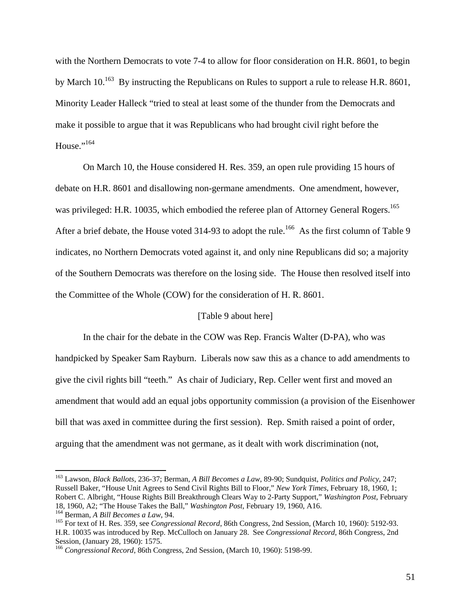with the Northern Democrats to vote 7-4 to allow for floor consideration on H.R. 8601, to begin by March 10.<sup>163</sup> By instructing the Republicans on Rules to support a rule to release H.R. 8601, Minority Leader Halleck "tried to steal at least some of the thunder from the Democrats and make it possible to argue that it was Republicans who had brought civil right before the House."<sup>164</sup>

On March 10, the House considered H. Res. 359, an open rule providing 15 hours of debate on H.R. 8601 and disallowing non-germane amendments. One amendment, however, was privileged: H.R. 10035, which embodied the referee plan of Attorney General Rogers.<sup>165</sup> After a brief debate, the House voted 314-93 to adopt the rule.<sup>166</sup> As the first column of Table 9 indicates, no Northern Democrats voted against it, and only nine Republicans did so; a majority of the Southern Democrats was therefore on the losing side. The House then resolved itself into the Committee of the Whole (COW) for the consideration of H. R. 8601.

# [Table 9 about here]

 In the chair for the debate in the COW was Rep. Francis Walter (D-PA), who was handpicked by Speaker Sam Rayburn. Liberals now saw this as a chance to add amendments to give the civil rights bill "teeth." As chair of Judiciary, Rep. Celler went first and moved an amendment that would add an equal jobs opportunity commission (a provision of the Eisenhower bill that was axed in committee during the first session). Rep. Smith raised a point of order, arguing that the amendment was not germane, as it dealt with work discrimination (not,

<sup>163</sup> Lawson, *Black Ballots*, 236-37; Berman, *A Bill Becomes a Law*, 89-90; Sundquist, *Politics and Policy*, 247; Russell Baker, "House Unit Agrees to Send Civil Rights Bill to Floor," *New York Times*, February 18, 1960, 1; Robert C. Albright, "House Rights Bill Breakthrough Clears Way to 2-Party Support," *Washington Post*, February

<sup>&</sup>lt;sup>164</sup> Berman, *A Bill Becomes a Law*, 94.<br><sup>165</sup> For text of H. Res. 359, see *Congressional Record*, 86th Congress, 2nd Session, (March 10, 1960): 5192-93. H.R. 10035 was introduced by Rep. McCulloch on January 28. See *Congressional Record*, 86th Congress, 2nd

<sup>&</sup>lt;sup>166</sup> Congressional Record, 86th Congress, 2nd Session, (March 10, 1960): 5198-99.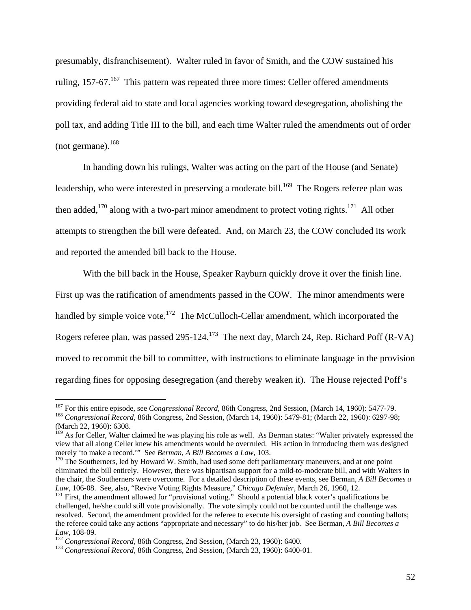presumably, disfranchisement). Walter ruled in favor of Smith, and the COW sustained his ruling,  $157-67$ .<sup>167</sup> This pattern was repeated three more times: Celler offered amendments providing federal aid to state and local agencies working toward desegregation, abolishing the poll tax, and adding Title III to the bill, and each time Walter ruled the amendments out of order (not germane). $168$ 

 In handing down his rulings, Walter was acting on the part of the House (and Senate) leadership, who were interested in preserving a moderate bill.<sup>169</sup> The Rogers referee plan was then added,<sup>170</sup> along with a two-part minor amendment to protect voting rights.<sup>171</sup> All other attempts to strengthen the bill were defeated. And, on March 23, the COW concluded its work and reported the amended bill back to the House.

 With the bill back in the House, Speaker Rayburn quickly drove it over the finish line. First up was the ratification of amendments passed in the COW. The minor amendments were handled by simple voice vote.<sup>172</sup> The McCulloch-Cellar amendment, which incorporated the Rogers referee plan, was passed 295-124.<sup>173</sup> The next day, March 24, Rep. Richard Poff (R-VA) moved to recommit the bill to committee, with instructions to eliminate language in the provision regarding fines for opposing desegregation (and thereby weaken it). The House rejected Poff's

<sup>&</sup>lt;sup>167</sup> For this entire episode, see *Congressional Record*, 86th Congress, 2nd Session, (March 14, 1960): 5477-79.<br><sup>168</sup> Congressional Record, 86th Congress, 2nd Session, (March 14, 1960): 5479-81; (March 22, 1960): 6297-98 (March 22, 1960): 6308.

<sup>&</sup>lt;sup>169</sup> As for Celler, Walter claimed he was playing his role as well. As Berman states: "Walter privately expressed the view that all along Celler knew his amendments would be overruled. His action in introducing them was designed merely 'to make a record.'" See *Berman, A Bill Becomes a Law*, 103.<br><sup>170</sup> The Southerners, led by Howard W. Smith, had used some deft parliamentary maneuvers, and at one point

eliminated the bill entirely. However, there was bipartisan support for a mild-to-moderate bill, and with Walters in the chair, the Southerners were overcome. For a detailed description of these events, see Berman, *A Bill Becomes a Law*, 106-08. See, also, "Revive Voting Rights Measure," *Chicago Defender*, March 26, 1960, 12.<br><sup>171</sup> First, the amendment allowed for "provisional voting." Should a potential black voter's qualifications be

challenged, he/she could still vote provisionally. The vote simply could not be counted until the challenge was resolved. Second, the amendment provided for the referee to execute his oversight of casting and counting ballots; the referee could take any actions "appropriate and necessary" to do his/her job. See Berman, *A Bill Becomes a Law*, 108-09. 172 *Congressional Record*, 86th Congress, 2nd Session, (March 23, 1960): 6400. 173 *Congressional Record*, 86th Congress, 2nd Session, (March 23, 1960): 6400-01.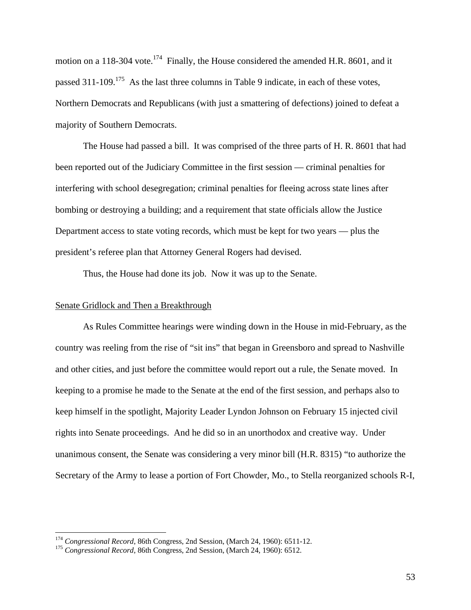motion on a 118-304 vote.<sup>174</sup> Finally, the House considered the amended H.R. 8601, and it passed  $311$ -109.<sup>175</sup> As the last three columns in Table 9 indicate, in each of these votes, Northern Democrats and Republicans (with just a smattering of defections) joined to defeat a majority of Southern Democrats.

 The House had passed a bill. It was comprised of the three parts of H. R. 8601 that had been reported out of the Judiciary Committee in the first session — criminal penalties for interfering with school desegregation; criminal penalties for fleeing across state lines after bombing or destroying a building; and a requirement that state officials allow the Justice Department access to state voting records, which must be kept for two years — plus the president's referee plan that Attorney General Rogers had devised.

Thus, the House had done its job. Now it was up to the Senate.

#### Senate Gridlock and Then a Breakthrough

 $\overline{a}$ 

 As Rules Committee hearings were winding down in the House in mid-February, as the country was reeling from the rise of "sit ins" that began in Greensboro and spread to Nashville and other cities, and just before the committee would report out a rule, the Senate moved. In keeping to a promise he made to the Senate at the end of the first session, and perhaps also to keep himself in the spotlight, Majority Leader Lyndon Johnson on February 15 injected civil rights into Senate proceedings. And he did so in an unorthodox and creative way. Under unanimous consent, the Senate was considering a very minor bill (H.R. 8315) "to authorize the Secretary of the Army to lease a portion of Fort Chowder, Mo., to Stella reorganized schools R-I,

<sup>&</sup>lt;sup>174</sup> *Congressional Record*, 86th Congress, 2nd Session, (March 24, 1960): 6511-12.<br><sup>175</sup> *Congressional Record*, 86th Congress, 2nd Session, (March 24, 1960): 6512.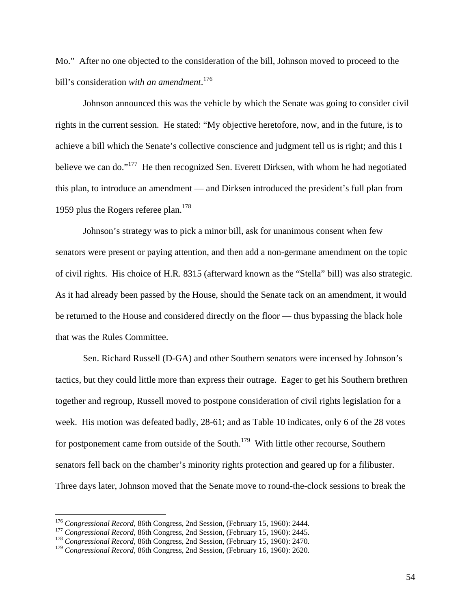Mo." After no one objected to the consideration of the bill, Johnson moved to proceed to the bill's consideration *with an amendment*. 176

 Johnson announced this was the vehicle by which the Senate was going to consider civil rights in the current session. He stated: "My objective heretofore, now, and in the future, is to achieve a bill which the Senate's collective conscience and judgment tell us is right; and this I believe we can do."<sup>177</sup> He then recognized Sen. Everett Dirksen, with whom he had negotiated this plan, to introduce an amendment — and Dirksen introduced the president's full plan from 1959 plus the Rogers referee plan.<sup>178</sup>

 Johnson's strategy was to pick a minor bill, ask for unanimous consent when few senators were present or paying attention, and then add a non-germane amendment on the topic of civil rights. His choice of H.R. 8315 (afterward known as the "Stella" bill) was also strategic. As it had already been passed by the House, should the Senate tack on an amendment, it would be returned to the House and considered directly on the floor — thus bypassing the black hole that was the Rules Committee.

 Sen. Richard Russell (D-GA) and other Southern senators were incensed by Johnson's tactics, but they could little more than express their outrage. Eager to get his Southern brethren together and regroup, Russell moved to postpone consideration of civil rights legislation for a week. His motion was defeated badly, 28-61; and as Table 10 indicates, only 6 of the 28 votes for postponement came from outside of the South.<sup>179</sup> With little other recourse, Southern senators fell back on the chamber's minority rights protection and geared up for a filibuster. Three days later, Johnson moved that the Senate move to round-the-clock sessions to break the

<u>.</u>

<sup>&</sup>lt;sup>176</sup> Congressional Record, 86th Congress, 2nd Session, (February 15, 1960): 2444.<br><sup>177</sup> Congressional Record, 86th Congress, 2nd Session, (February 15, 1960): 2445.<br><sup>178</sup> Congressional Record, 86th Congress, 2nd Session,

<sup>179</sup> *Congressional Record*, 86th Congress, 2nd Session, (February 16, 1960): 2620.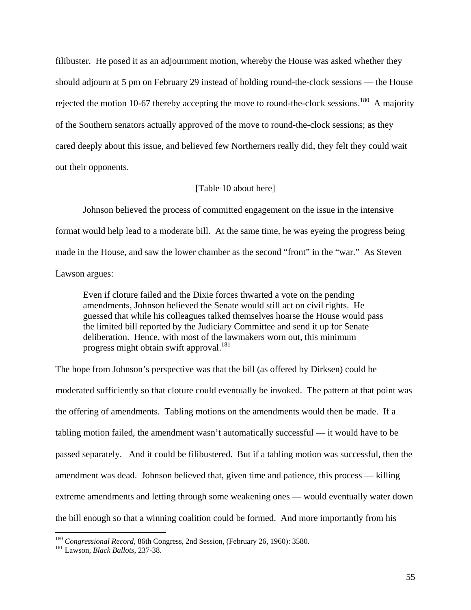filibuster. He posed it as an adjournment motion, whereby the House was asked whether they should adjourn at 5 pm on February 29 instead of holding round-the-clock sessions — the House rejected the motion 10-67 thereby accepting the move to round-the-clock sessions.<sup>180</sup> A majority of the Southern senators actually approved of the move to round-the-clock sessions; as they cared deeply about this issue, and believed few Northerners really did, they felt they could wait out their opponents.

#### [Table 10 about here]

 Johnson believed the process of committed engagement on the issue in the intensive format would help lead to a moderate bill. At the same time, he was eyeing the progress being made in the House, and saw the lower chamber as the second "front" in the "war." As Steven Lawson argues:

Even if cloture failed and the Dixie forces thwarted a vote on the pending amendments, Johnson believed the Senate would still act on civil rights. He guessed that while his colleagues talked themselves hoarse the House would pass the limited bill reported by the Judiciary Committee and send it up for Senate deliberation. Hence, with most of the lawmakers worn out, this minimum progress might obtain swift approval.<sup>181</sup>

The hope from Johnson's perspective was that the bill (as offered by Dirksen) could be moderated sufficiently so that cloture could eventually be invoked. The pattern at that point was the offering of amendments. Tabling motions on the amendments would then be made. If a tabling motion failed, the amendment wasn't automatically successful — it would have to be passed separately. And it could be filibustered. But if a tabling motion was successful, then the amendment was dead. Johnson believed that, given time and patience, this process — killing extreme amendments and letting through some weakening ones — would eventually water down the bill enough so that a winning coalition could be formed. And more importantly from his

<sup>180</sup> *Congressional Record*, 86th Congress, 2nd Session, (February 26, 1960): 3580. 181 Lawson, *Black Ballots*, 237-38.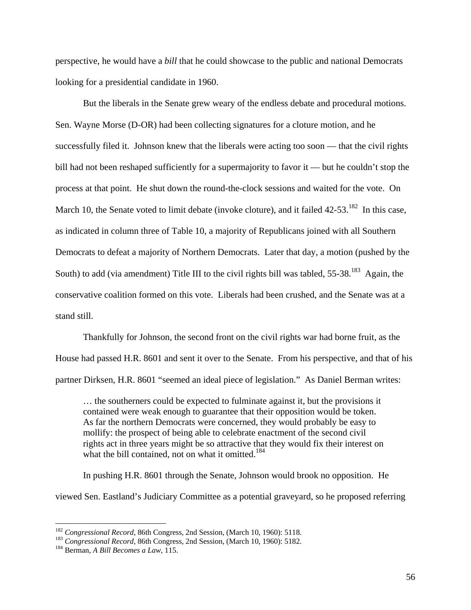perspective, he would have a *bill* that he could showcase to the public and national Democrats looking for a presidential candidate in 1960.

 But the liberals in the Senate grew weary of the endless debate and procedural motions. Sen. Wayne Morse (D-OR) had been collecting signatures for a cloture motion, and he successfully filed it. Johnson knew that the liberals were acting too soon — that the civil rights bill had not been reshaped sufficiently for a supermajority to favor it — but he couldn't stop the process at that point. He shut down the round-the-clock sessions and waited for the vote. On March 10, the Senate voted to limit debate (invoke cloture), and it failed 42-53.<sup>182</sup> In this case, as indicated in column three of Table 10, a majority of Republicans joined with all Southern Democrats to defeat a majority of Northern Democrats. Later that day, a motion (pushed by the South) to add (via amendment) Title III to the civil rights bill was tabled, 55-38.<sup>183</sup> Again, the conservative coalition formed on this vote. Liberals had been crushed, and the Senate was at a stand still.

 Thankfully for Johnson, the second front on the civil rights war had borne fruit, as the House had passed H.R. 8601 and sent it over to the Senate. From his perspective, and that of his partner Dirksen, H.R. 8601 "seemed an ideal piece of legislation." As Daniel Berman writes:

… the southerners could be expected to fulminate against it, but the provisions it contained were weak enough to guarantee that their opposition would be token. As far the northern Democrats were concerned, they would probably be easy to mollify: the prospect of being able to celebrate enactment of the second civil rights act in three years might be so attractive that they would fix their interest on what the bill contained, not on what it omitted.<sup>184</sup>

 In pushing H.R. 8601 through the Senate, Johnson would brook no opposition. He viewed Sen. Eastland's Judiciary Committee as a potential graveyard, so he proposed referring

<sup>&</sup>lt;sup>182</sup> *Congressional Record*, 86th Congress, 2nd Session, (March 10, 1960): 5118. <sup>183</sup> *Congressional Record*, 86th Congress, 2nd Session, (March 10, 1960): 5182. <sup>184</sup> Berman, *A Bill Becomes a Law*, 115.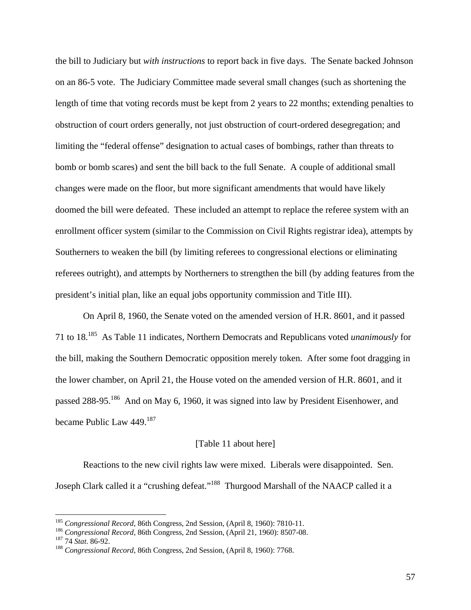the bill to Judiciary but *with instructions* to report back in five days. The Senate backed Johnson on an 86-5 vote. The Judiciary Committee made several small changes (such as shortening the length of time that voting records must be kept from 2 years to 22 months; extending penalties to obstruction of court orders generally, not just obstruction of court-ordered desegregation; and limiting the "federal offense" designation to actual cases of bombings, rather than threats to bomb or bomb scares) and sent the bill back to the full Senate. A couple of additional small changes were made on the floor, but more significant amendments that would have likely doomed the bill were defeated. These included an attempt to replace the referee system with an enrollment officer system (similar to the Commission on Civil Rights registrar idea), attempts by Southerners to weaken the bill (by limiting referees to congressional elections or eliminating referees outright), and attempts by Northerners to strengthen the bill (by adding features from the president's initial plan, like an equal jobs opportunity commission and Title III).

 On April 8, 1960, the Senate voted on the amended version of H.R. 8601, and it passed 71 to 18.185 As Table 11 indicates, Northern Democrats and Republicans voted *unanimously* for the bill, making the Southern Democratic opposition merely token. After some foot dragging in the lower chamber, on April 21, the House voted on the amended version of H.R. 8601, and it passed 288-95.186 And on May 6, 1960, it was signed into law by President Eisenhower, and became Public Law 449.<sup>187</sup>

### [Table 11 about here]

 Reactions to the new civil rights law were mixed. Liberals were disappointed. Sen. Joseph Clark called it a "crushing defeat."188 Thurgood Marshall of the NAACP called it a

<sup>&</sup>lt;sup>185</sup> Congressional Record, 86th Congress, 2nd Session, (April 8, 1960): 7810-11.<br><sup>186</sup> Congressional Record, 86th Congress, 2nd Session, (April 21, 1960): 8507-08.<br><sup>187</sup> 74 *Stat.* 86-92.<br><sup>188</sup> Congressional Record, 86th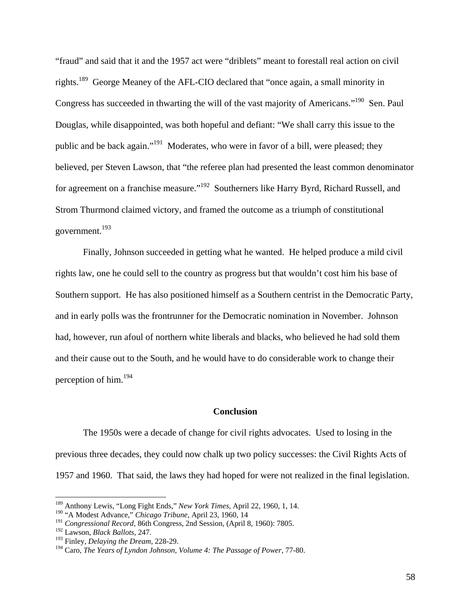"fraud" and said that it and the 1957 act were "driblets" meant to forestall real action on civil rights.189 George Meaney of the AFL-CIO declared that "once again, a small minority in Congress has succeeded in thwarting the will of the vast majority of Americans."<sup>190</sup> Sen. Paul Douglas, while disappointed, was both hopeful and defiant: "We shall carry this issue to the public and be back again."191 Moderates, who were in favor of a bill, were pleased; they believed, per Steven Lawson, that "the referee plan had presented the least common denominator for agreement on a franchise measure."<sup>192</sup> Southerners like Harry Byrd, Richard Russell, and Strom Thurmond claimed victory, and framed the outcome as a triumph of constitutional government.193

 Finally, Johnson succeeded in getting what he wanted. He helped produce a mild civil rights law, one he could sell to the country as progress but that wouldn't cost him his base of Southern support. He has also positioned himself as a Southern centrist in the Democratic Party, and in early polls was the frontrunner for the Democratic nomination in November. Johnson had, however, run afoul of northern white liberals and blacks, who believed he had sold them and their cause out to the South, and he would have to do considerable work to change their perception of him.<sup>194</sup>

# **Conclusion**

 The 1950s were a decade of change for civil rights advocates. Used to losing in the previous three decades, they could now chalk up two policy successes: the Civil Rights Acts of 1957 and 1960. That said, the laws they had hoped for were not realized in the final legislation.

<sup>189</sup> Anthony Lewis, "Long Fight Ends," *New York Times*, April 22, 1960, 1, 14.

<sup>190 &</sup>quot;A Modest Advance," *Chicago Tribune*, April 23, 1960, 14

<sup>191</sup> *Congressional Record*, 86th Congress, 2nd Session, (April 8, 1960): 7805.

<sup>192</sup> Lawson, *Black Ballots*, 247.

<sup>193</sup> Finley, *Delaying the Dream*, 228-29.

<sup>194</sup> Caro, *The Years of Lyndon Johnson, Volume 4: The Passage of Power*, 77-80.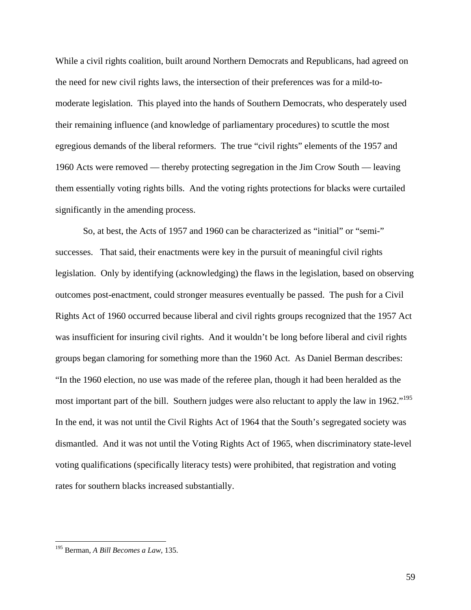While a civil rights coalition, built around Northern Democrats and Republicans, had agreed on the need for new civil rights laws, the intersection of their preferences was for a mild-tomoderate legislation. This played into the hands of Southern Democrats, who desperately used their remaining influence (and knowledge of parliamentary procedures) to scuttle the most egregious demands of the liberal reformers. The true "civil rights" elements of the 1957 and 1960 Acts were removed — thereby protecting segregation in the Jim Crow South — leaving them essentially voting rights bills. And the voting rights protections for blacks were curtailed significantly in the amending process.

 So, at best, the Acts of 1957 and 1960 can be characterized as "initial" or "semi-" successes. That said, their enactments were key in the pursuit of meaningful civil rights legislation. Only by identifying (acknowledging) the flaws in the legislation, based on observing outcomes post-enactment, could stronger measures eventually be passed. The push for a Civil Rights Act of 1960 occurred because liberal and civil rights groups recognized that the 1957 Act was insufficient for insuring civil rights. And it wouldn't be long before liberal and civil rights groups began clamoring for something more than the 1960 Act. As Daniel Berman describes: "In the 1960 election, no use was made of the referee plan, though it had been heralded as the most important part of the bill. Southern judges were also reluctant to apply the law in 1962."<sup>195</sup> In the end, it was not until the Civil Rights Act of 1964 that the South's segregated society was dismantled. And it was not until the Voting Rights Act of 1965, when discriminatory state-level voting qualifications (specifically literacy tests) were prohibited, that registration and voting rates for southern blacks increased substantially.

<sup>195</sup> Berman, *A Bill Becomes a Law*, 135.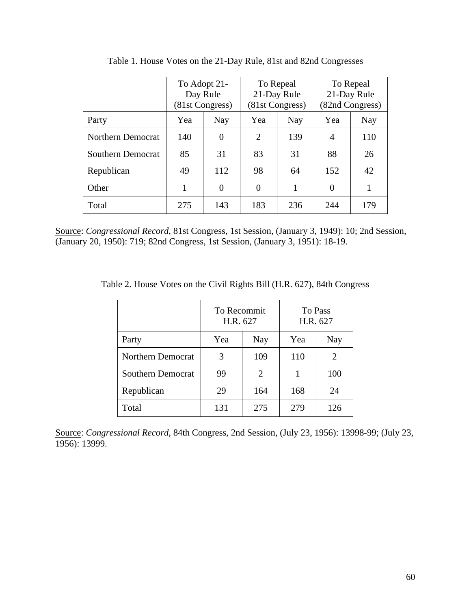|                          | To Adopt 21-<br>Day Rule<br>(81st Congress) |          |          | To Repeal<br>21-Day Rule<br>(81st Congress) | To Repeal<br>21-Day Rule<br>(82nd Congress) |     |  |
|--------------------------|---------------------------------------------|----------|----------|---------------------------------------------|---------------------------------------------|-----|--|
| Party                    | Yea                                         | Nay      | Yea      | Nay                                         | Yea                                         | Nay |  |
| Northern Democrat        | 140                                         | $\theta$ | 2        | 139                                         | $\overline{4}$                              | 110 |  |
| <b>Southern Democrat</b> | 85                                          | 31       | 83       | 31                                          | 88                                          | 26  |  |
| Republican               | 49                                          | 112      | 98       | 64                                          | 152                                         | 42  |  |
| Other                    |                                             | $\Omega$ | $\Omega$ | $\mathbf{1}$                                | $\theta$                                    |     |  |
| Total                    | 275                                         | 143      | 183      | 236                                         | 244                                         | 179 |  |

Table 1. House Votes on the 21-Day Rule, 81st and 82nd Congresses

Source: *Congressional Record*, 81st Congress, 1st Session, (January 3, 1949): 10; 2nd Session, (January 20, 1950): 719; 82nd Congress, 1st Session, (January 3, 1951): 18-19.

Table 2. House Votes on the Civil Rights Bill (H.R. 627), 84th Congress

|                          | To Recommit<br>H.R. 627 |     | To Pass<br>H.R. 627 |     |  |
|--------------------------|-------------------------|-----|---------------------|-----|--|
| Party                    | Yea                     | Nay | Yea                 | Nay |  |
| <b>Northern Democrat</b> | 3<br>109                |     | 110                 | 2   |  |
| <b>Southern Democrat</b> | 99                      | 2   | 1                   | 100 |  |
| Republican               | 29<br>164               |     | 168                 | 24  |  |
| Total                    | 131                     | 275 | 279                 | 126 |  |

Source: *Congressional Record*, 84th Congress, 2nd Session, (July 23, 1956): 13998-99; (July 23, 1956): 13999.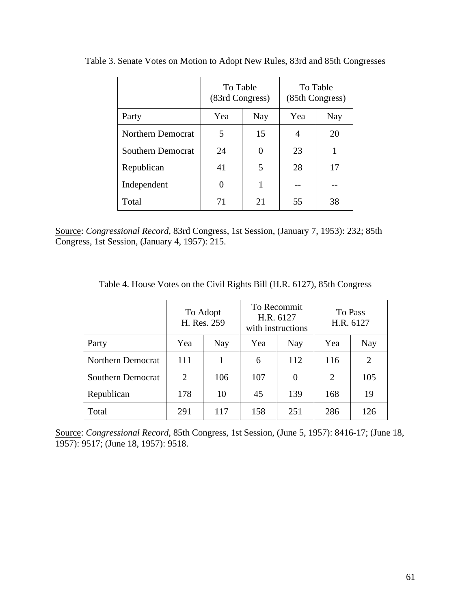|                          | To Table<br>(83rd Congress) |     | To Table<br>(85th Congress) |     |  |
|--------------------------|-----------------------------|-----|-----------------------------|-----|--|
| Party                    | Yea                         | Nay | Yea                         | Nay |  |
| Northern Democrat        | 5                           | 15  | 4                           | 20  |  |
| <b>Southern Democrat</b> | 24                          |     | 23                          | 1   |  |
| Republican               | 41                          | 5   | 28                          | 17  |  |
| Independent              | 1<br>0                      |     |                             |     |  |
| Total                    | 71                          | 21  | 55                          | 38  |  |

Table 3. Senate Votes on Motion to Adopt New Rules, 83rd and 85th Congresses

Source: *Congressional Record*, 83rd Congress, 1st Session, (January 7, 1953): 232; 85th Congress, 1st Session, (January 4, 1957): 215.

| Table 4. House Votes on the Civil Rights Bill (H.R. 6127), 85th Congress |  |  |  |
|--------------------------------------------------------------------------|--|--|--|
|                                                                          |  |  |  |

|                   |     | To Recommit<br>To Adopt<br>H.R. 6127<br>H. Res. 259<br>with instructions |            |          | H.R. 6127 | To Pass        |
|-------------------|-----|--------------------------------------------------------------------------|------------|----------|-----------|----------------|
| Party             | Yea | Nay                                                                      | Yea<br>Nay |          | Yea       | <b>Nay</b>     |
| Northern Democrat | 111 |                                                                          | 6          | 112      | 116       | $\overline{2}$ |
| Southern Democrat | 2   | 106                                                                      | 107        | $\Omega$ | 2         | 105            |
| Republican        | 178 | 10                                                                       | 45<br>139  |          | 168       | 19             |
| Total             | 291 | 117                                                                      | 158        | 251      | 286       | 126            |

Source: *Congressional Record*, 85th Congress, 1st Session, (June 5, 1957): 8416-17; (June 18, 1957): 9517; (June 18, 1957): 9518.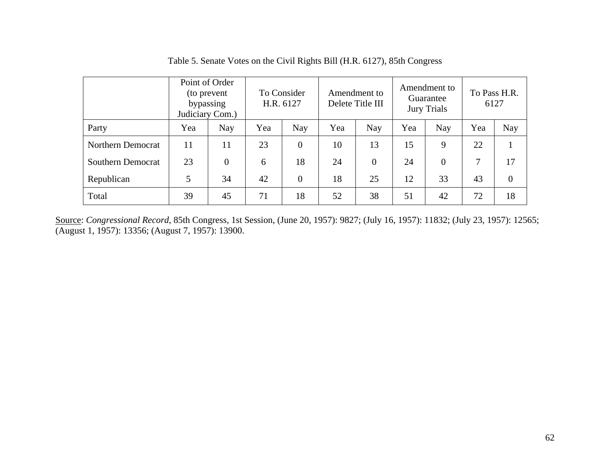|                          | Point of Order<br>bypassing<br>Judiciary Com.) | (to prevent |     | To Consider<br>Amendment to<br>H.R. 6127<br>Delete Title III |     | Amendment to<br>Guarantee<br><b>Jury Trials</b> |     | To Pass H.R.<br>6127 |     |                |
|--------------------------|------------------------------------------------|-------------|-----|--------------------------------------------------------------|-----|-------------------------------------------------|-----|----------------------|-----|----------------|
| Party                    | Yea                                            | <b>Nay</b>  | Yea | <b>Nay</b>                                                   | Yea | <b>Nay</b>                                      | Yea | <b>Nay</b>           | Yea | Nay            |
| Northern Democrat        | 11                                             | 11          | 23  | $\overline{0}$                                               | 10  | 13                                              | 15  | 9                    | 22  |                |
| <b>Southern Democrat</b> | 23                                             | $\theta$    | 6   | 18                                                           | 24  | $\theta$                                        | 24  | $\overline{0}$       | 7   | 17             |
| Republican               | 5                                              | 34          | 42  | $\overline{0}$                                               | 18  | 25                                              | 12  | 33                   | 43  | $\overline{0}$ |
| Total                    | 39                                             | 45          | 71  | 18                                                           | 52  | 38                                              | 51  | 42                   | 72  | 18             |

Table 5. Senate Votes on the Civil Rights Bill (H.R. 6127), 85th Congress

Source: *Congressional Record*, 85th Congress, 1st Session, (June 20, 1957): 9827; (July 16, 1957): 11832; (July 23, 1957): 12565; (August 1, 1957): 13356; (August 7, 1957): 13900.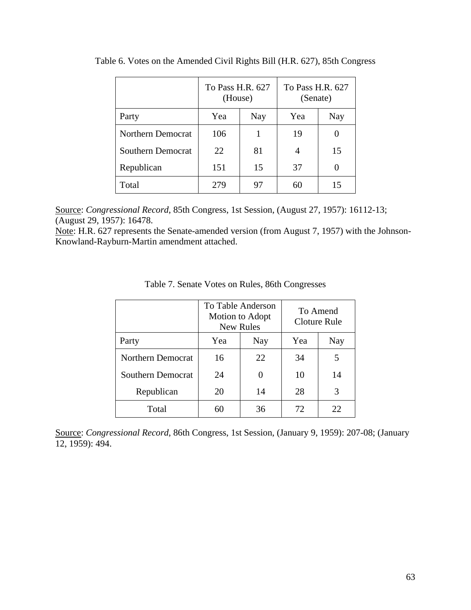|                          | To Pass H.R. 627<br>(House) |     | To Pass H.R. 627<br>(Senate) |     |  |
|--------------------------|-----------------------------|-----|------------------------------|-----|--|
| Party                    | Yea                         | Nay | Yea                          | Nay |  |
| Northern Democrat        | 106                         |     | 19                           |     |  |
| <b>Southern Democrat</b> | 22                          | 81  | 4                            | 15  |  |
| Republican               | 151<br>15                   |     | 37                           | 0   |  |
| Total                    | 279                         | 97  | 60                           | 15  |  |

Table 6. Votes on the Amended Civil Rights Bill (H.R. 627), 85th Congress

Source: *Congressional Record*, 85th Congress, 1st Session, (August 27, 1957): 16112-13; (August 29, 1957): 16478.

Note: H.R. 627 represents the Senate-amended version (from August 7, 1957) with the Johnson-Knowland-Rayburn-Martin amendment attached.

|                   |          | To Table Anderson<br>Motion to Adopt<br><b>New Rules</b> | To Amend<br><b>Cloture Rule</b> |     |  |
|-------------------|----------|----------------------------------------------------------|---------------------------------|-----|--|
| Party             | Yea      | Nay                                                      | Yea                             | Nay |  |
| Northern Democrat | 16       | 22                                                       | 34                              | 5   |  |
| Southern Democrat | 24       | 0                                                        | 10                              | 14  |  |
| Republican        | 20<br>14 |                                                          | 28                              | 3   |  |
| Total             | 60       | 36                                                       | 72                              | 22  |  |

Table 7. Senate Votes on Rules, 86th Congresses

Source: *Congressional Record*, 86th Congress, 1st Session, (January 9, 1959): 207-08; (January  $\overline{12, 1959}$ : 494.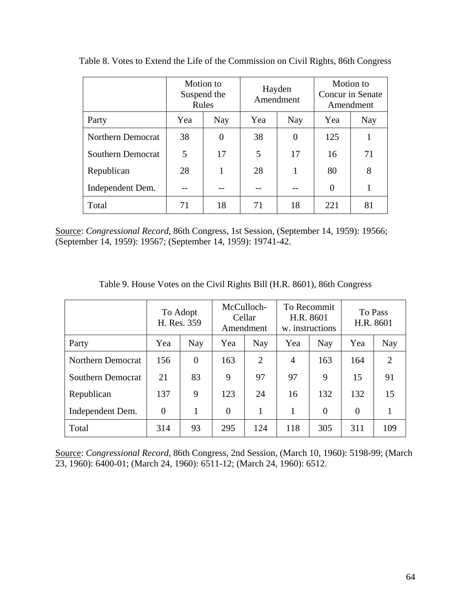|                          |     | Motion to<br>Suspend the<br>Rules | Hayden<br>Amendment |            | Motion to<br>Concur in Senate<br>Amendment |     |
|--------------------------|-----|-----------------------------------|---------------------|------------|--------------------------------------------|-----|
| Party                    | Yea | <b>Nay</b>                        | Yea                 | <b>Nay</b> |                                            | Nay |
| Northern Democrat        | 38  | 0                                 | 38                  | 0          | 125                                        |     |
| <b>Southern Democrat</b> | 5   | 17                                | 5                   | 17         | 16                                         | 71  |
| Republican               | 28  |                                   | 28                  |            | 80                                         | 8   |
| Independent Dem.         |     |                                   |                     |            | $\theta$                                   |     |
| Total                    | 71  | 18                                | 71                  | 18         | 221                                        | 81  |

Table 8. Votes to Extend the Life of the Commission on Civil Rights, 86th Congress

Source: *Congressional Record*, 86th Congress, 1st Session, (September 14, 1959): 19566; (September 14, 1959): 19567; (September 14, 1959): 19741-42.

|                   |                | To Adopt<br>H. Res. 359 | McCulloch-<br>Cellar<br>Amendment |            | To Recommit<br>H.R. 8601<br>w. instructions |                | To Pass<br>H.R. 8601 |     |
|-------------------|----------------|-------------------------|-----------------------------------|------------|---------------------------------------------|----------------|----------------------|-----|
| Party             | Yea            | Nay                     | Yea                               | <b>Nay</b> | Yea                                         | Nay            | Yea                  | Nay |
| Northern Democrat | 156            | $\overline{0}$          | 163                               | 2          | $\overline{4}$                              | 163            | 164                  | 2   |
| Southern Democrat | 21             | 83                      | 9                                 | 97         | 97                                          | 9              | 15                   | 91  |
| Republican        | 137            | 9                       | 123                               | 24         | 16                                          | 132            | 132                  | 15  |
| Independent Dem.  | $\overline{0}$ | 1                       | $\theta$                          | 1          |                                             | $\overline{0}$ | $\overline{0}$       |     |
| Total             | 314            | 93                      | 295                               | 124        | 118                                         | 305            | 311                  | 109 |

Table 9. House Votes on the Civil Rights Bill (H.R. 8601), 86th Congress

Source: *Congressional Record*, 86th Congress, 2nd Session, (March 10, 1960): 5198-99; (March 23, 1960): 6400-01; (March 24, 1960): 6511-12; (March 24, 1960): 6512.